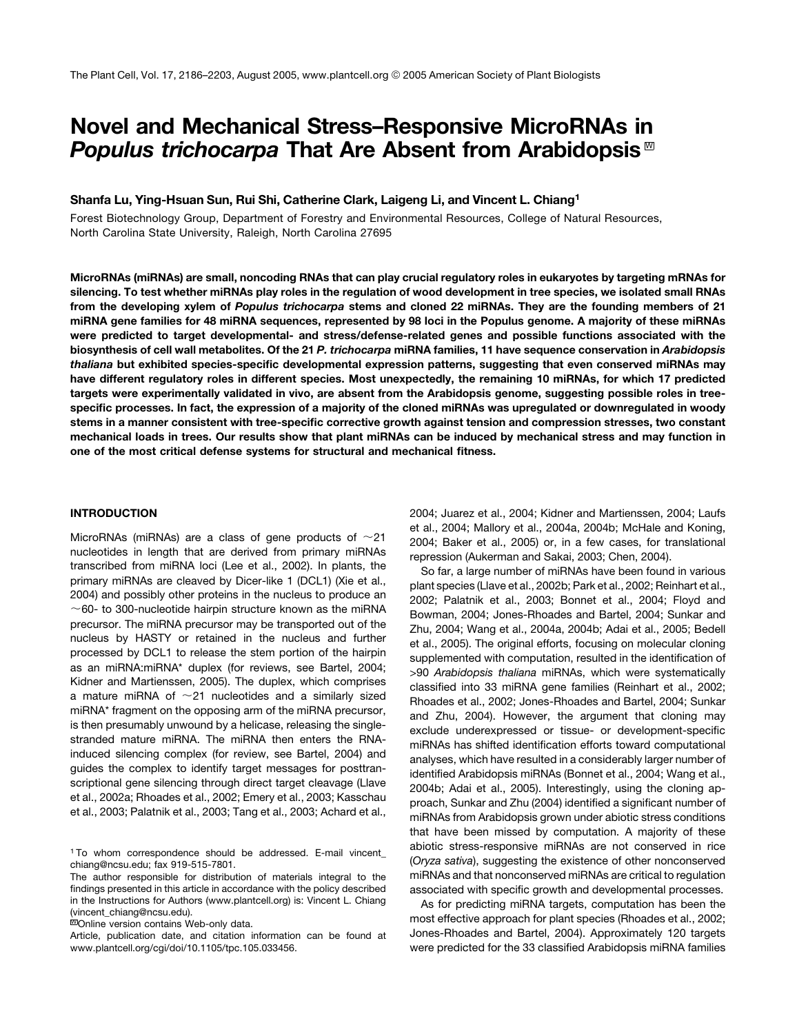# Novel and Mechanical Stress–Responsive MicroRNAs in Populus trichocarpa That Are Absent from Arabidopsis<sup>™</sup>

### Shanfa Lu, Ying-Hsuan Sun, Rui Shi, Catherine Clark, Laigeng Li, and Vincent L. Chiang1

Forest Biotechnology Group, Department of Forestry and Environmental Resources, College of Natural Resources, North Carolina State University, Raleigh, North Carolina 27695

MicroRNAs (miRNAs) are small, noncoding RNAs that can play crucial regulatory roles in eukaryotes by targeting mRNAs for silencing. To test whether miRNAs play roles in the regulation of wood development in tree species, we isolated small RNAs from the developing xylem of Populus trichocarpa stems and cloned 22 miRNAs. They are the founding members of 21 miRNA gene families for 48 miRNA sequences, represented by 98 loci in the Populus genome. A majority of these miRNAs were predicted to target developmental- and stress/defense-related genes and possible functions associated with the biosynthesis of cell wall metabolites. Of the 21 P. trichocarpa miRNA families, 11 have sequence conservation in Arabidopsis thaliana but exhibited species-specific developmental expression patterns, suggesting that even conserved miRNAs may have different regulatory roles in different species. Most unexpectedly, the remaining 10 miRNAs, for which 17 predicted targets were experimentally validated in vivo, are absent from the Arabidopsis genome, suggesting possible roles in treespecific processes. In fact, the expression of a majority of the cloned miRNAs was upregulated or downregulated in woody stems in a manner consistent with tree-specific corrective growth against tension and compression stresses, two constant mechanical loads in trees. Our results show that plant miRNAs can be induced by mechanical stress and may function in one of the most critical defense systems for structural and mechanical fitness.

#### INTRODUCTION

MicroRNAs (miRNAs) are a class of gene products of  $\sim$ 21 nucleotides in length that are derived from primary miRNAs transcribed from miRNA loci (Lee et al., 2002). In plants, the primary miRNAs are cleaved by Dicer-like 1 (DCL1) (Xie et al., 2004) and possibly other proteins in the nucleus to produce an  $\sim$  60- to 300-nucleotide hairpin structure known as the miRNA precursor. The miRNA precursor may be transported out of the nucleus by HASTY or retained in the nucleus and further processed by DCL1 to release the stem portion of the hairpin as an miRNA:miRNA\* duplex (for reviews, see Bartel, 2004; Kidner and Martienssen, 2005). The duplex, which comprises a mature miRNA of  $\sim$ 21 nucleotides and a similarly sized miRNA\* fragment on the opposing arm of the miRNA precursor, is then presumably unwound by a helicase, releasing the singlestranded mature miRNA. The miRNA then enters the RNAinduced silencing complex (for review, see Bartel, 2004) and guides the complex to identify target messages for posttranscriptional gene silencing through direct target cleavage (Llave et al., 2002a; Rhoades et al., 2002; Emery et al., 2003; Kasschau et al., 2003; Palatnik et al., 2003; Tang et al., 2003; Achard et al.,

**WOnline version contains Web-only data.** 

Article, publication date, and citation information can be found at www.plantcell.org/cgi/doi/10.1105/tpc.105.033456.

2004; Juarez et al., 2004; Kidner and Martienssen, 2004; Laufs et al., 2004; Mallory et al., 2004a, 2004b; McHale and Koning, 2004; Baker et al., 2005) or, in a few cases, for translational repression (Aukerman and Sakai, 2003; Chen, 2004).

So far, a large number of miRNAs have been found in various plant species (Llave et al., 2002b; Park et al., 2002; Reinhart et al., 2002; Palatnik et al., 2003; Bonnet et al., 2004; Floyd and Bowman, 2004; Jones-Rhoades and Bartel, 2004; Sunkar and Zhu, 2004; Wang et al., 2004a, 2004b; Adai et al., 2005; Bedell et al., 2005). The original efforts, focusing on molecular cloning supplemented with computation, resulted in the identification of >90 *Arabidopsis thaliana* miRNAs, which were systematically classified into 33 miRNA gene families (Reinhart et al., 2002; Rhoades et al., 2002; Jones-Rhoades and Bartel, 2004; Sunkar and Zhu, 2004). However, the argument that cloning may exclude underexpressed or tissue- or development-specific miRNAs has shifted identification efforts toward computational analyses, which have resulted in a considerably larger number of identified Arabidopsis miRNAs (Bonnet et al., 2004; Wang et al., 2004b; Adai et al., 2005). Interestingly, using the cloning approach, Sunkar and Zhu (2004) identified a significant number of miRNAs from Arabidopsis grown under abiotic stress conditions that have been missed by computation. A majority of these abiotic stress-responsive miRNAs are not conserved in rice (*Oryza sativa*), suggesting the existence of other nonconserved miRNAs and that nonconserved miRNAs are critical to regulation associated with specific growth and developmental processes.

As for predicting miRNA targets, computation has been the most effective approach for plant species (Rhoades et al., 2002; Jones-Rhoades and Bartel, 2004). Approximately 120 targets were predicted for the 33 classified Arabidopsis miRNA families

<sup>1</sup> To whom correspondence should be addressed. E-mail vincent\_ chiang@ncsu.edu; fax 919-515-7801.

The author responsible for distribution of materials integral to the findings presented in this article in accordance with the policy described in the Instructions for Authors (www.plantcell.org) is: Vincent L. Chiang (vincent\_chiang@ncsu.edu).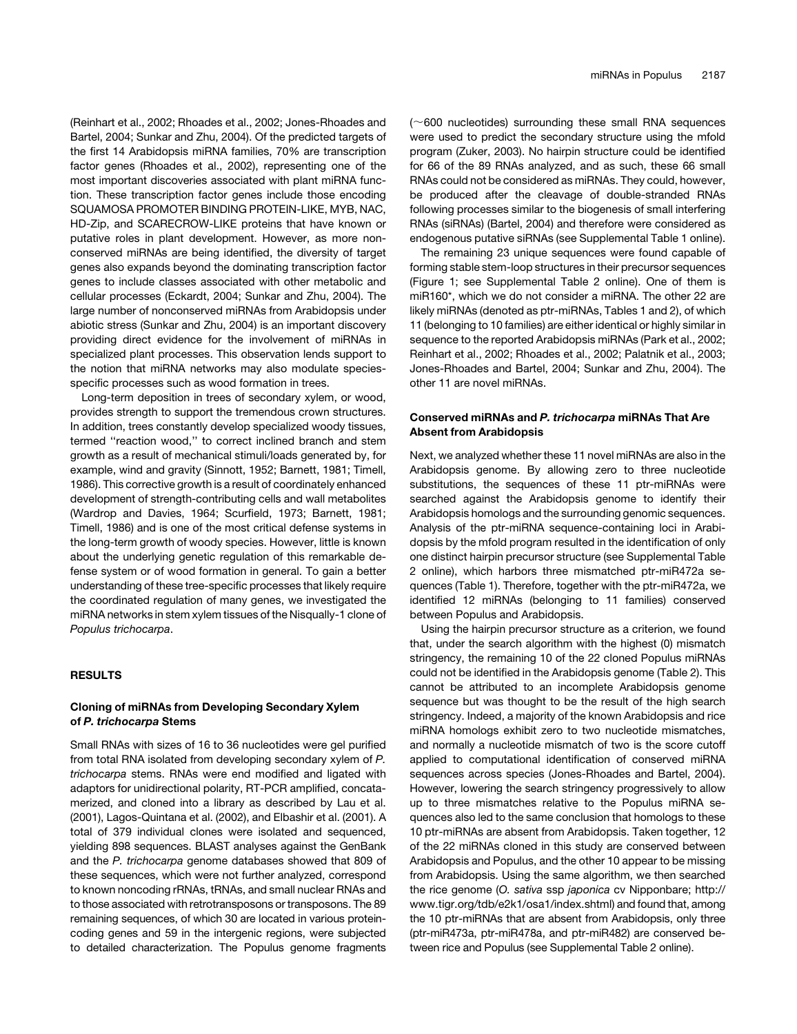(Reinhart et al., 2002; Rhoades et al., 2002; Jones-Rhoades and Bartel, 2004; Sunkar and Zhu, 2004). Of the predicted targets of the first 14 Arabidopsis miRNA families, 70% are transcription factor genes (Rhoades et al., 2002), representing one of the most important discoveries associated with plant miRNA function. These transcription factor genes include those encoding SQUAMOSA PROMOTER BINDING PROTEIN-LIKE, MYB, NAC, HD-Zip, and SCARECROW-LIKE proteins that have known or putative roles in plant development. However, as more nonconserved miRNAs are being identified, the diversity of target genes also expands beyond the dominating transcription factor genes to include classes associated with other metabolic and cellular processes (Eckardt, 2004; Sunkar and Zhu, 2004). The large number of nonconserved miRNAs from Arabidopsis under abiotic stress (Sunkar and Zhu, 2004) is an important discovery providing direct evidence for the involvement of miRNAs in specialized plant processes. This observation lends support to the notion that miRNA networks may also modulate speciesspecific processes such as wood formation in trees.

Long-term deposition in trees of secondary xylem, or wood, provides strength to support the tremendous crown structures. In addition, trees constantly develop specialized woody tissues, termed ''reaction wood,'' to correct inclined branch and stem growth as a result of mechanical stimuli/loads generated by, for example, wind and gravity (Sinnott, 1952; Barnett, 1981; Timell, 1986). This corrective growth is a result of coordinately enhanced development of strength-contributing cells and wall metabolites (Wardrop and Davies, 1964; Scurfield, 1973; Barnett, 1981; Timell, 1986) and is one of the most critical defense systems in the long-term growth of woody species. However, little is known about the underlying genetic regulation of this remarkable defense system or of wood formation in general. To gain a better understanding of these tree-specific processes that likely require the coordinated regulation of many genes, we investigated the miRNA networks in stem xylem tissues of the Nisqually-1 clone of *Populus trichocarpa*.

### **RESULTS**

### Cloning of miRNAs from Developing Secondary Xylem of P. trichocarpa Stems

Small RNAs with sizes of 16 to 36 nucleotides were gel purified from total RNA isolated from developing secondary xylem of *P. trichocarpa* stems. RNAs were end modified and ligated with adaptors for unidirectional polarity, RT-PCR amplified, concatamerized, and cloned into a library as described by Lau et al. (2001), Lagos-Quintana et al. (2002), and Elbashir et al. (2001). A total of 379 individual clones were isolated and sequenced, yielding 898 sequences. BLAST analyses against the GenBank and the *P. trichocarpa* genome databases showed that 809 of these sequences, which were not further analyzed, correspond to known noncoding rRNAs, tRNAs, and small nuclear RNAs and to those associated with retrotransposons or transposons. The 89 remaining sequences, of which 30 are located in various proteincoding genes and 59 in the intergenic regions, were subjected to detailed characterization. The Populus genome fragments  $(\sim]600$  nucleotides) surrounding these small RNA sequences were used to predict the secondary structure using the mfold program (Zuker, 2003). No hairpin structure could be identified for 66 of the 89 RNAs analyzed, and as such, these 66 small RNAs could not be considered as miRNAs. They could, however, be produced after the cleavage of double-stranded RNAs following processes similar to the biogenesis of small interfering RNAs (siRNAs) (Bartel, 2004) and therefore were considered as endogenous putative siRNAs (see Supplemental Table 1 online).

The remaining 23 unique sequences were found capable of forming stable stem-loop structures in their precursor sequences (Figure 1; see Supplemental Table 2 online). One of them is miR160\*, which we do not consider a miRNA. The other 22 are likely miRNAs (denoted as ptr-miRNAs, Tables 1 and 2), of which 11 (belonging to 10 families) are either identical or highly similar in sequence to the reported Arabidopsis miRNAs (Park et al., 2002; Reinhart et al., 2002; Rhoades et al., 2002; Palatnik et al., 2003; Jones-Rhoades and Bartel, 2004; Sunkar and Zhu, 2004). The other 11 are novel miRNAs.

### Conserved miRNAs and P. trichocarpa miRNAs That Are Absent from Arabidopsis

Next, we analyzed whether these 11 novel miRNAs are also in the Arabidopsis genome. By allowing zero to three nucleotide substitutions, the sequences of these 11 ptr-miRNAs were searched against the Arabidopsis genome to identify their Arabidopsis homologs and the surrounding genomic sequences. Analysis of the ptr-miRNA sequence-containing loci in Arabidopsis by the mfold program resulted in the identification of only one distinct hairpin precursor structure (see Supplemental Table 2 online), which harbors three mismatched ptr-miR472a sequences (Table 1). Therefore, together with the ptr-miR472a, we identified 12 miRNAs (belonging to 11 families) conserved between Populus and Arabidopsis.

Using the hairpin precursor structure as a criterion, we found that, under the search algorithm with the highest (0) mismatch stringency, the remaining 10 of the 22 cloned Populus miRNAs could not be identified in the Arabidopsis genome (Table 2). This cannot be attributed to an incomplete Arabidopsis genome sequence but was thought to be the result of the high search stringency. Indeed, a majority of the known Arabidopsis and rice miRNA homologs exhibit zero to two nucleotide mismatches, and normally a nucleotide mismatch of two is the score cutoff applied to computational identification of conserved miRNA sequences across species (Jones-Rhoades and Bartel, 2004). However, lowering the search stringency progressively to allow up to three mismatches relative to the Populus miRNA sequences also led to the same conclusion that homologs to these 10 ptr-miRNAs are absent from Arabidopsis. Taken together, 12 of the 22 miRNAs cloned in this study are conserved between Arabidopsis and Populus, and the other 10 appear to be missing from Arabidopsis. Using the same algorithm, we then searched the rice genome (*O. sativa* ssp *japonica* cv Nipponbare; http:// www.tigr.org/tdb/e2k1/osa1/index.shtml) and found that, among the 10 ptr-miRNAs that are absent from Arabidopsis, only three (ptr-miR473a, ptr-miR478a, and ptr-miR482) are conserved between rice and Populus (see Supplemental Table 2 online).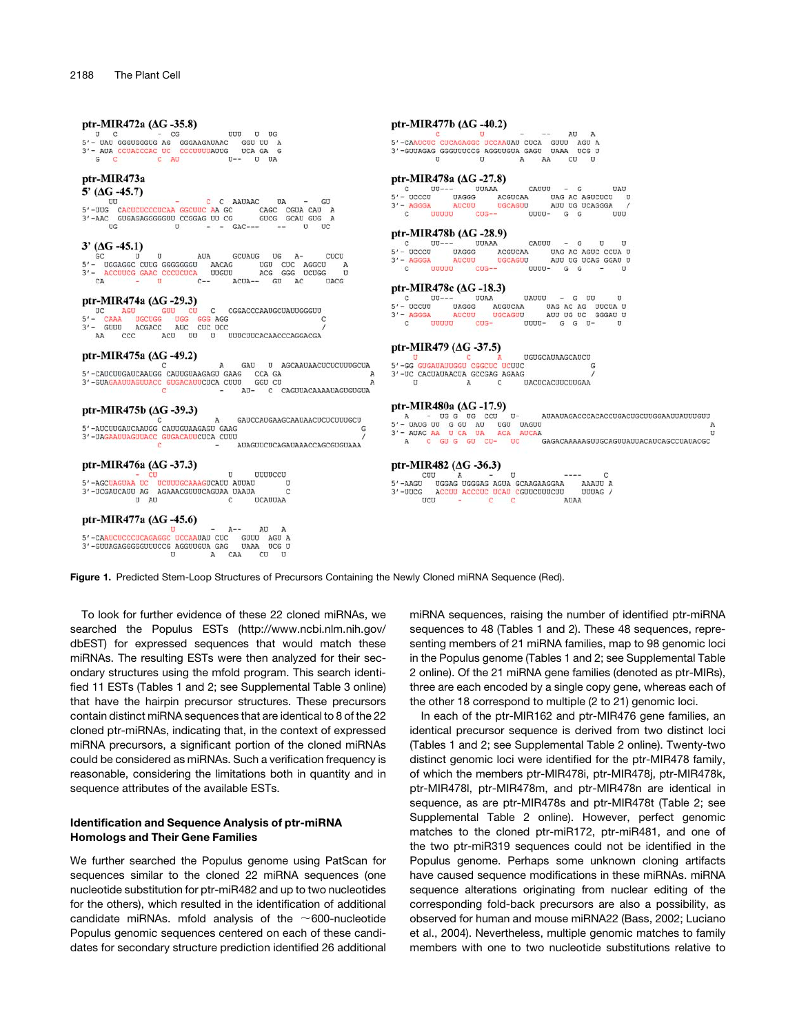#### ptr-MIR472a (ΔG-35.8)

3'- NUA CUACCEA UC COUUUNUS UC U DA CAR CONSECTE C AN U-- U DA C COUUUNUS UC C AU U-- U DA

## ptr-MIR473a

5' ( $\Delta G - 45.7$ )  $\mathbf{c}$ C AAUAAC UU UA UU C C ACUCUCCCUCAA GCCUUC AA GC<br>3'-AAC GUGAGAGGGGUU CCGGAG UU CG CAGC CGUA CAU A  $\overline{U}$ G  $\mathbf{U}$  $GAC-- \mathbf{U}$ 

### $3' (\Delta G - 45.1)$

5/- UGGSGC CUUG GAAC CCCUCUCA UUGUU ACAG CCCUCUCA UUGUU ACAG CCCUCUCA UUGUU C-- A GCUAUG UG  $A$ cucu UGU CUC AGGCU<br>ACG GGG UCUGG A  $ACUA--$ GU AC **UACG** 

#### ptr-MIR474a (ΔG-29.3)

UC AGU GUU CU C<br>5'- CAAA UGCUGG UGG GGG AGG<br>3'- GUUU ACGACC AUC CUC UCC<br>AA CCC ACU UU U CGGACCCAAUGCUAUUGGGUU C UUUCUUCACAACCCAGGACGA

#### ptr-MIR475a (ΔG-49.2)

 $\,$  A GAU U AGCAAUAACUCUCUUUGCUA 5'-CAUCUUGAUCAAUGG CAUUGUAAGAGU GAAG CCA GA<br>3'-GUAGAAUUAGUUACC GUGACAUUCUCA CUUU GGU CU A  $AU -$ CAGUUACAAAAUAGUGUGUA  $\mathbf{C}$ 

### ptr-MIR475b (ΔG-39.3)

GAUCCAUGAAGCAAUAACUCUCUUUGCU  $\overline{A}$ 5'-AUCUUGAUCAAUGG CAUUGUAAGAGU GAAG G 3'-UAGAAUUAGUUACC GUGACAUUCUCA CUUU AUAGUUCUCAGAUAAACCAGCGUGUAAA

#### ptr-MIR476a (ΔG-37.3)

- CU U<br>5'-AGCUAGUAA UC UCUUUGCAAAGUCAUU AUUAU<br>3'-UCGAUCAUU AG AGAAACGUUUCAGUAA UAAUA UUUUCCU U  $\epsilon$  $U$   $AU$  $\overline{c}$ UCAUUAA

#### ptr-MIR477a (ΔG-45.6)

- AU A<br>5'-CAAUCUCCCUCAGAGGC UCCAAUAU CUC GUUU AGU A<br>3'-GUUAGAGGGGUUUCCG AGGUUGUA GAG UAAA UCG U  $CAA$  $\,$  U  $CU$  $\, {\bf A}$ 

### ptr-MIR477b (ΔG-40.2)

5'-CAAUCUC CUCAGAGGC UCCAAUAU CUCA GUUU AGU A<br>3'-GUUAGAG GGGUUUCCG AGGUUGUA GAGU UAAA UCC U  $\upsilon$  $\overline{U}$ AA  $\overline{\text{c}}\overline{\text{u}}$  $\lambda$ 

### ptr-MIR478a ( $\Delta G$ -27.8)

CAUUU UUAAA  $\mathbf{G}$ UAU  $UU-- 5' - UCCCU$  UAGGG UAG AC AGUCUCU ACGUCAA D  $3'$  - AGGGA **AUCUU** UGCAGUU **UUUUU** UUUU- $\mathsf{G}$  $\mathbf{C}$  $CUG \mathsf{G}$  $UUU$ 

#### ptr-MIR478b ( $\Delta G$ -28.9)

UUAAA CAUUU  $G$ ū  $UU \rightarrow \mathbf{U}$ 5' - UCCCU UAGGG UAG AC AGUC CCUA U<br>AUU UG UCAG GGAU U ACGUCAA  $3'$  - AGGGA **AUCUU UGCAGUU UUUUU**  $UUUU -$ G G  $\mathbf{C}$  $C<sub>IIG</sub>$  $\mathbf{u}$ 

### ptr-MIR478c ( $\Delta G$ -18.3)

pri-MIR478C (AG-18.5)<br>
C UU--- UDAR AUGUCAR<br>
3'- AGGGA AUGUCAR<br>
3'- AGGGA AUGU **UAUUU** G UU  $\mathbf{u}$ UAG AC AG UUCUA U<br>AUU UG UC GGGAU U uuuu  $CUG UUUU - G G U \mathbf{C}$  $\mathbf{u}$ 

### ptr-MIR479 (AG-37.5)

UGUGCAUAAGCAUCU 5'-GG GUGAUAUUGGU CGGCUC UCUUC G 3'-UC CACUAUAACUA GCCGAG AGAAG UACUCACUUCUUGAA

#### ptr-MIR480a (ΔG-17.9)

A - UG C CC CC U<br>5'- DADG DU G CU UA ACA AUCA<br>3'- ADAC AA U CA DA ACA AUCA<br>A C GU G CU CU- UC AUA AUAGACCCACACCUGACUGCUUGGA AUUAUUGUU U GAGACAAAAAGUUGCAGUUAUUACAUCAGCCUAUACGC

#### ptr-MIR482 ( $\Delta$ G-36.3)

ptr-MIR482 (AG -36.3)<br>
S'-AAGU UGGAG UGGGAG AGUA GCAAGAAGAA<br>
3'-UUCG ACCUU ACCCUC UCAU CGUUCUUUCUU<br>
UCU COU COU CAU CAU A  $\mathbf{c}$ AAAUU A UUUAG / AUAA

Figure 1. Predicted Stem-Loop Structures of Precursors Containing the Newly Cloned miRNA Sequence (Red).

GÜ

 $\overline{u}$ 

To look for further evidence of these 22 cloned miRNAs, we searched the Populus ESTs (http://www.ncbi.nlm.nih.gov/ dbEST) for expressed sequences that would match these miRNAs. The resulting ESTs were then analyzed for their secondary structures using the mfold program. This search identified 11 ESTs (Tables 1 and 2; see Supplemental Table 3 online) that have the hairpin precursor structures. These precursors contain distinct miRNA sequences that are identical to 8 of the 22 cloned ptr-miRNAs, indicating that, in the context of expressed miRNA precursors, a significant portion of the cloned miRNAs could be considered as miRNAs. Such a verification frequency is reasonable, considering the limitations both in quantity and in sequence attributes of the available ESTs.

### Identification and Sequence Analysis of ptr-miRNA Homologs and Their Gene Families

We further searched the Populus genome using PatScan for sequences similar to the cloned 22 miRNA sequences (one nucleotide substitution for ptr-miR482 and up to two nucleotides for the others), which resulted in the identification of additional candidate miRNAs. mfold analysis of the  $\sim$ 600-nucleotide Populus genomic sequences centered on each of these candidates for secondary structure prediction identified 26 additional miRNA sequences, raising the number of identified ptr-miRNA sequences to 48 (Tables 1 and 2). These 48 sequences, representing members of 21 miRNA families, map to 98 genomic loci in the Populus genome (Tables 1 and 2; see Supplemental Table 2 online). Of the 21 miRNA gene families (denoted as ptr-MIRs), three are each encoded by a single copy gene, whereas each of the other 18 correspond to multiple (2 to 21) genomic loci.

In each of the ptr-MIR162 and ptr-MIR476 gene families, an identical precursor sequence is derived from two distinct loci (Tables 1 and 2; see Supplemental Table 2 online). Twenty-two distinct genomic loci were identified for the ptr-MIR478 family, of which the members ptr-MIR478i, ptr-MIR478j, ptr-MIR478k, ptr-MIR478l, ptr-MIR478m, and ptr-MIR478n are identical in sequence, as are ptr-MIR478s and ptr-MIR478t (Table 2; see Supplemental Table 2 online). However, perfect genomic matches to the cloned ptr-miR172, ptr-miR481, and one of the two ptr-miR319 sequences could not be identified in the Populus genome. Perhaps some unknown cloning artifacts have caused sequence modifications in these miRNAs. miRNA sequence alterations originating from nuclear editing of the corresponding fold-back precursors are also a possibility, as observed for human and mouse miRNA22 (Bass, 2002; Luciano et al., 2004). Nevertheless, multiple genomic matches to family members with one to two nucleotide substitutions relative to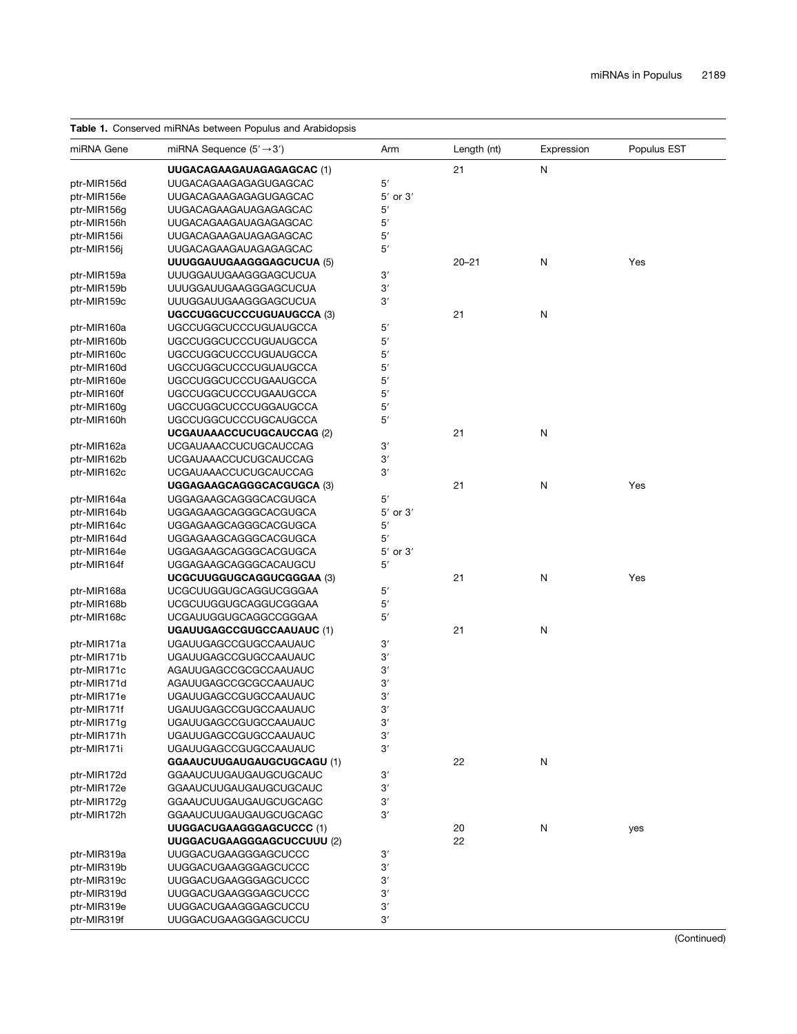### Table 1. Conserved miRNAs between Populus and Arabidopsis

| miRNA Gene  | miRNA Sequence $(5' \rightarrow 3')$ | Arm          | Length (nt) | Expression | Populus EST |
|-------------|--------------------------------------|--------------|-------------|------------|-------------|
|             | UUGACAGAAGAUAGAGAGCAC (1)            |              | 21          | N          |             |
| ptr-MIR156d | <b>UUGACAGAAGAGAGUGAGCAC</b>         | 5′           |             |            |             |
| ptr-MIR156e | UUGACAGAAGAGAGUGAGCAC                | $5'$ or $3'$ |             |            |             |
| ptr-MIR156g | UUGACAGAAGAUAGAGAGCAC                | 5′           |             |            |             |
|             |                                      | 5′           |             |            |             |
| ptr-MIR156h | <b>UUGACAGAAGAUAGAGAGCAC</b>         |              |             |            |             |
| ptr-MIR156i | UUGACAGAAGAUAGAGAGCAC                | $5^\prime$   |             |            |             |
| ptr-MIR156j | UUGACAGAAGAUAGAGAGCAC                | 5′           |             |            |             |
|             | UUUGGAUUGAAGGGAGCUCUA (5)            |              | $20 - 21$   | N          | Yes         |
| ptr-MIR159a | <b>UUUGGAUUGAAGGGAGCUCUA</b>         | $3^\prime$   |             |            |             |
| ptr-MIR159b | UUUGGAUUGAAGGGAGCUCUA                | 3'           |             |            |             |
| ptr-MIR159c | <b>UUUGGAUUGAAGGGAGCUCUA</b>         | 3′           |             |            |             |
|             | <b>UGCCUGGCUCCCUGUAUGCCA (3)</b>     |              | 21          | N          |             |
| ptr-MIR160a | <b>UGCCUGGCUCCCUGUAUGCCA</b>         | 5'           |             |            |             |
| ptr-MIR160b | <b>UGCCUGGCUCCCUGUAUGCCA</b>         | 5'           |             |            |             |
| ptr-MIR160c | <b>UGCCUGGCUCCCUGUAUGCCA</b>         | $5^\prime$   |             |            |             |
| ptr-MIR160d | <b>UGCCUGGCUCCCUGUAUGCCA</b>         | 5′           |             |            |             |
| ptr-MIR160e | <b>UGCCUGGCUCCCUGAAUGCCA</b>         | 5′           |             |            |             |
| ptr-MIR160f | <b>UGCCUGGCUCCCUGAAUGCCA</b>         | 5′           |             |            |             |
| ptr-MIR160g | <b>UGCCUGGCUCCCUGGAUGCCA</b>         | 5′           |             |            |             |
|             |                                      | 5'           |             |            |             |
| ptr-MIR160h | <b>UGCCUGGCUCCCUGCAUGCCA</b>         |              |             |            |             |
|             | UCGAUAAACCUCUGCAUCCAG (2)            |              | 21          | N          |             |
| ptr-MIR162a | <b>UCGAUAAACCUCUGCAUCCAG</b>         | 3'           |             |            |             |
| ptr-MIR162b | <b>UCGAUAAACCUCUGCAUCCAG</b>         | 3'           |             |            |             |
| ptr-MIR162c | <b>UCGAUAAACCUCUGCAUCCAG</b>         | 3'           |             |            |             |
|             | UGGAGAAGCAGGGCACGUGCA (3)            |              | 21          | N          | Yes         |
| ptr-MIR164a | UGGAGAAGCAGGGCACGUGCA                | 5'           |             |            |             |
| ptr-MIR164b | UGGAGAAGCAGGGCACGUGCA                | $5'$ or $3'$ |             |            |             |
| ptr-MIR164c | UGGAGAAGCAGGGCACGUGCA                | 5'           |             |            |             |
| ptr-MIR164d | UGGAGAAGCAGGGCACGUGCA                | 5′           |             |            |             |
| ptr-MIR164e | UGGAGAAGCAGGGCACGUGCA                | 5' or 3'     |             |            |             |
| ptr-MIR164f | <b>UGGAGAAGCAGGGCACAUGCU</b>         | 5′           |             |            |             |
|             | UCGCUUGGUGCAGGUCGGGAA (3)            |              | 21          | N          | Yes         |
| ptr-MIR168a | <b>UCGCUUGGUGCAGGUCGGGAA</b>         | 5′           |             |            |             |
| ptr-MIR168b | UCGCUUGGUGCAGGUCGGGAA                | 5′           |             |            |             |
| ptr-MIR168c | <b>UCGAUUGGUGCAGGCCGGGAA</b>         | 5'           |             |            |             |
|             | <b>UGAUUGAGCCGUGCCAAUAUC (1)</b>     |              | 21          | N          |             |
| ptr-MIR171a | <b>UGAUUGAGCCGUGCCAAUAUC</b>         | $3^\prime$   |             |            |             |
|             | <b>UGAUUGAGCCGUGCCAAUAUC</b>         | $3^\prime$   |             |            |             |
| ptr-MIR171b |                                      | 3'           |             |            |             |
| ptr-MIR171c | AGAUUGAGCCGCGCCAAUAUC                |              |             |            |             |
| ptr-MIR171d | AGAUUGAGCCGCGCCAAUAUC                | 3′           |             |            |             |
| ptr-MIR171e | <b>UGAUUGAGCCGUGCCAAUAUC</b>         | $3^\prime$   |             |            |             |
| ptr-MIR171f | <b>UGAUUGAGCCGUGCCAAUAUC</b>         | 3'           |             |            |             |
| ptr-MIR171g | <b>UGAUUGAGCCGUGCCAAUAUC</b>         | 3'           |             |            |             |
| ptr-MIR171h | <b>UGAUUGAGCCGUGCCAAUAUC</b>         | 3'           |             |            |             |
| ptr-MIR171i | <b>UGAUUGAGCCGUGCCAAUAUC</b>         | 3'           |             |            |             |
|             | <b>GGAAUCUUGAUGAUGCUGCAGU (1)</b>    |              | 22          | N          |             |
| ptr-MIR172d | GGAAUCUUGAUGAUGCUGCAUC               | 3'           |             |            |             |
| ptr-MIR172e | <b>GGAAUCUUGAUGAUGCUGCAUC</b>        | $3^\prime$   |             |            |             |
| ptr-MIR172g | <b>GGAAUCUUGAUGAUGCUGCAGC</b>        | $3^\prime$   |             |            |             |
| ptr-MIR172h | GGAAUCUUGAUGAUGCUGCAGC               | $3^\prime$   |             |            |             |
|             | UUGGACUGAAGGGAGCUCCC (1)             |              | 20          | N          | yes         |
|             | UUGGACUGAAGGGAGCUCCUUU (2)           |              | 22          |            |             |
| ptr-MIR319a | <b>UUGGACUGAAGGGAGCUCCC</b>          | $3^\prime$   |             |            |             |
| ptr-MIR319b | <b>UUGGACUGAAGGGAGCUCCC</b>          | $3^\prime$   |             |            |             |
| ptr-MIR319c | <b>UUGGACUGAAGGGAGCUCCC</b>          | 3′           |             |            |             |
|             |                                      | $3^\prime$   |             |            |             |
| ptr-MIR319d | <b>UUGGACUGAAGGGAGCUCCC</b>          |              |             |            |             |
| ptr-MIR319e | <b>UUGGACUGAAGGGAGCUCCU</b>          | $3^\prime$   |             |            |             |
| ptr-MIR319f | <b>UUGGACUGAAGGGAGCUCCU</b>          | 3'           |             |            |             |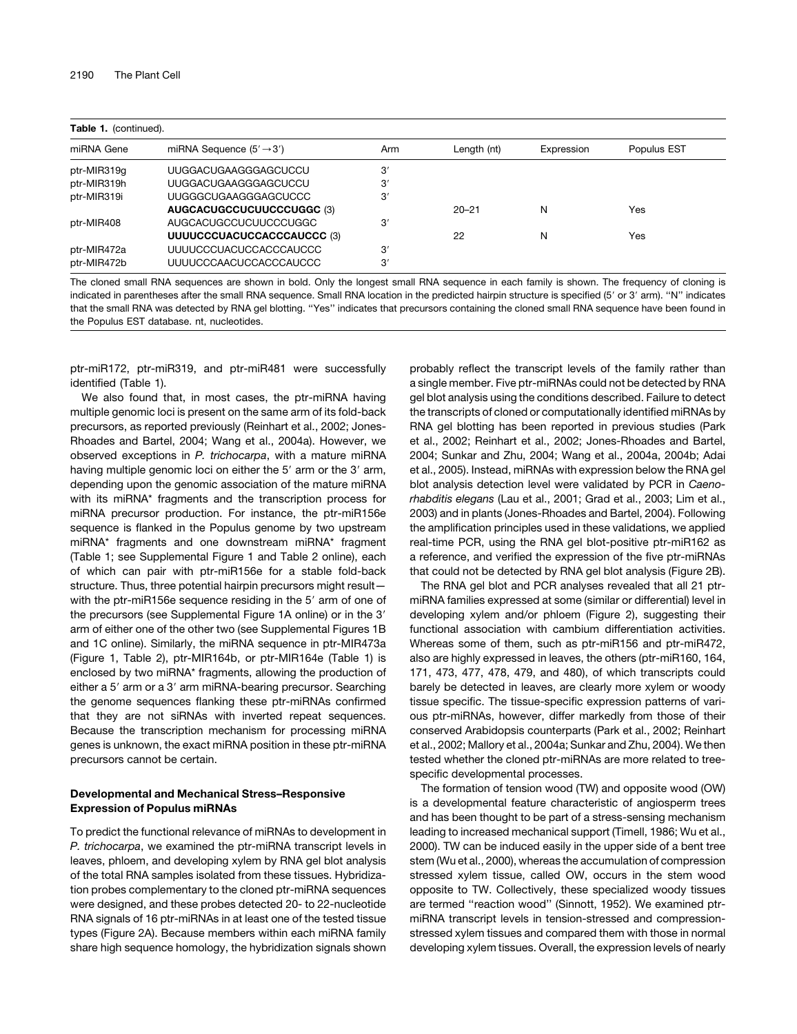| <b>Table 1.</b> (continued). |                                      |     |             |            |             |
|------------------------------|--------------------------------------|-----|-------------|------------|-------------|
| miRNA Gene                   | miRNA Sequence $(5' \rightarrow 3')$ | Arm | Length (nt) | Expression | Populus EST |
| ptr-MIR319g                  | UUGGACUGAAGGGAGCUCCU                 | 3'  |             |            |             |
| ptr-MIR319h                  | <b>UUGGACUGAAGGGAGCUCCU</b>          | 3'  |             |            |             |
| ptr-MIR319i                  | <b>UUGGGCUGAAGGGAGCUCCC</b>          | 3'  |             |            |             |
|                              | AUGCACUGCCUCUUCCCUGGC (3)            |     | $20 - 21$   | N          | Yes         |
| ptr-MIR408                   | AUGCACUGCCUCUUCCCUGGC                | 3'  |             |            |             |
|                              | UUUUCCCUACUCCACCCAUCCC (3)           |     | 22          | N          | Yes         |
| ptr-MIR472a                  | UUUUCCCUACUCCACCCAUCCC               | 3'  |             |            |             |
| ptr-MIR472b                  | UUUUCCCAACUCCACCCAUCCC               | 3'  |             |            |             |

The cloned small RNA sequences are shown in bold. Only the longest small RNA sequence in each family is shown. The frequency of cloning is indicated in parentheses after the small RNA sequence. Small RNA location in the predicted hairpin structure is specified (5' or 3' arm). "N" indicates that the small RNA was detected by RNA gel blotting. ''Yes'' indicates that precursors containing the cloned small RNA sequence have been found in the Populus EST database. nt, nucleotides.

ptr-miR172, ptr-miR319, and ptr-miR481 were successfully identified (Table 1).

We also found that, in most cases, the ptr-miRNA having multiple genomic loci is present on the same arm of its fold-back precursors, as reported previously (Reinhart et al., 2002; Jones-Rhoades and Bartel, 2004; Wang et al., 2004a). However, we observed exceptions in *P. trichocarpa*, with a mature miRNA having multiple genomic loci on either the 5' arm or the 3' arm, depending upon the genomic association of the mature miRNA with its miRNA\* fragments and the transcription process for miRNA precursor production. For instance, the ptr-miR156e sequence is flanked in the Populus genome by two upstream miRNA\* fragments and one downstream miRNA\* fragment (Table 1; see Supplemental Figure 1 and Table 2 online), each of which can pair with ptr-miR156e for a stable fold-back structure. Thus, three potential hairpin precursors might result with the ptr-miR156e sequence residing in the 5' arm of one of the precursors (see Supplemental Figure 1A online) or in the 3' arm of either one of the other two (see Supplemental Figures 1B and 1C online). Similarly, the miRNA sequence in ptr-MIR473a (Figure 1, Table 2), ptr-MIR164b, or ptr-MIR164e (Table 1) is enclosed by two miRNA\* fragments, allowing the production of either a 5' arm or a 3' arm miRNA-bearing precursor. Searching the genome sequences flanking these ptr-miRNAs confirmed that they are not siRNAs with inverted repeat sequences. Because the transcription mechanism for processing miRNA genes is unknown, the exact miRNA position in these ptr-miRNA precursors cannot be certain.

### Developmental and Mechanical Stress–Responsive Expression of Populus miRNAs

To predict the functional relevance of miRNAs to development in *P. trichocarpa*, we examined the ptr-miRNA transcript levels in leaves, phloem, and developing xylem by RNA gel blot analysis of the total RNA samples isolated from these tissues. Hybridization probes complementary to the cloned ptr-miRNA sequences were designed, and these probes detected 20- to 22-nucleotide RNA signals of 16 ptr-miRNAs in at least one of the tested tissue types (Figure 2A). Because members within each miRNA family share high sequence homology, the hybridization signals shown probably reflect the transcript levels of the family rather than a single member. Five ptr-miRNAs could not be detected by RNA gel blot analysis using the conditions described. Failure to detect the transcripts of cloned or computationally identified miRNAs by RNA gel blotting has been reported in previous studies (Park et al., 2002; Reinhart et al., 2002; Jones-Rhoades and Bartel, 2004; Sunkar and Zhu, 2004; Wang et al., 2004a, 2004b; Adai et al., 2005). Instead, miRNAs with expression below the RNA gel blot analysis detection level were validated by PCR in *Caenorhabditis elegans* (Lau et al., 2001; Grad et al., 2003; Lim et al., 2003) and in plants (Jones-Rhoades and Bartel, 2004). Following the amplification principles used in these validations, we applied real-time PCR, using the RNA gel blot-positive ptr-miR162 as a reference, and verified the expression of the five ptr-miRNAs that could not be detected by RNA gel blot analysis (Figure 2B).

The RNA gel blot and PCR analyses revealed that all 21 ptrmiRNA families expressed at some (similar or differential) level in developing xylem and/or phloem (Figure 2), suggesting their functional association with cambium differentiation activities. Whereas some of them, such as ptr-miR156 and ptr-miR472, also are highly expressed in leaves, the others (ptr-miR160, 164, 171, 473, 477, 478, 479, and 480), of which transcripts could barely be detected in leaves, are clearly more xylem or woody tissue specific. The tissue-specific expression patterns of various ptr-miRNAs, however, differ markedly from those of their conserved Arabidopsis counterparts (Park et al., 2002; Reinhart et al., 2002; Mallory et al., 2004a; Sunkar and Zhu, 2004). We then tested whether the cloned ptr-miRNAs are more related to treespecific developmental processes.

The formation of tension wood (TW) and opposite wood (OW) is a developmental feature characteristic of angiosperm trees and has been thought to be part of a stress-sensing mechanism leading to increased mechanical support (Timell, 1986; Wu et al., 2000). TW can be induced easily in the upper side of a bent tree stem (Wu et al., 2000), whereas the accumulation of compression stressed xylem tissue, called OW, occurs in the stem wood opposite to TW. Collectively, these specialized woody tissues are termed "reaction wood" (Sinnott, 1952). We examined ptrmiRNA transcript levels in tension-stressed and compressionstressed xylem tissues and compared them with those in normal developing xylem tissues. Overall, the expression levels of nearly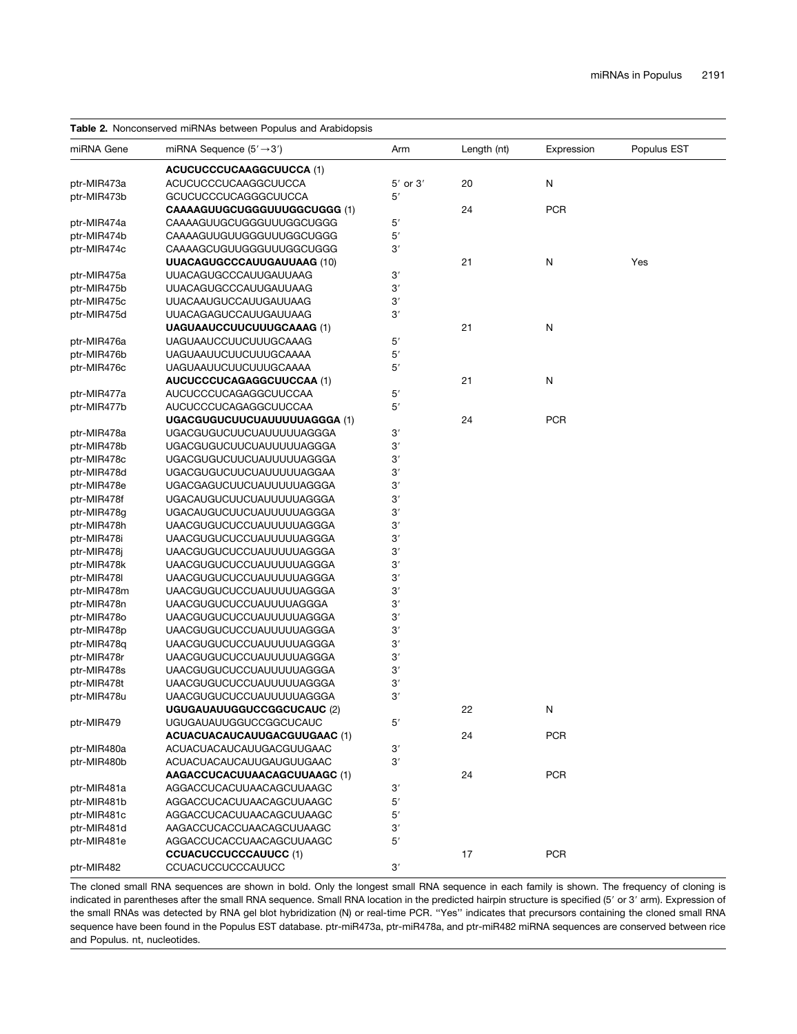### Table 2. Nonconserved miRNAs between Populus and Arabidopsis

| miRNA Gene                 | miRNA Sequence $(5' \rightarrow 3')$                 | Arm          | Length (nt) | Expression | Populus EST |
|----------------------------|------------------------------------------------------|--------------|-------------|------------|-------------|
|                            | <b>ACUCUCCCUCAAGGCUUCCA (1)</b>                      |              |             |            |             |
| ptr-MIR473a                | ACUCUCCCUCAAGGCUUCCA                                 | $5'$ or $3'$ | 20          | N          |             |
| ptr-MIR473b                | <b>GCUCUCCCUCAGGGCUUCCA</b>                          | 5'           |             |            |             |
|                            | CAAAAGUUGCUGGGUUUGGCUGGG (1)                         |              | 24          | <b>PCR</b> |             |
| ptr-MIR474a                | CAAAAGUUGCUGGGUUUGGCUGGG                             | 5'           |             |            |             |
| ptr-MIR474b                | CAAAAGUUGUUGGGUUUGGCUGGG                             | 5'           |             |            |             |
| ptr-MIR474c                | CAAAAGCUGUUGGGUUUGGCUGGG                             | 3′           |             |            |             |
|                            | UUACAGUGCCCAUUGAUUAAG (10)                           |              | 21          | N          | Yes         |
| ptr-MIR475a                | <b>UUACAGUGCCCAUUGAUUAAG</b>                         | $3^\prime$   |             |            |             |
| ptr-MIR475b                | UUACAGUGCCCAUUGAUUAAG                                | 3′           |             |            |             |
| ptr-MIR475c                | UUACAAUGUCCAUUGAUUAAG                                | 3'           |             |            |             |
| ptr-MIR475d                | <b>UUACAGAGUCCAUUGAUUAAG</b>                         | 3'           |             |            |             |
|                            | <b>UAGUAAUCCUUCUUUGCAAAG (1)</b>                     |              | 21          | N          |             |
| ptr-MIR476a                | <b>UAGUAAUCCUUCUUUGCAAAG</b>                         | 5'           |             |            |             |
| ptr-MIR476b                | <b>UAGUAAUUCUUCUUUGCAAAA</b>                         | 5'           |             |            |             |
| ptr-MIR476c                | <b>UAGUAAUUCUUCUUUGCAAAA</b>                         | 5′           |             |            |             |
|                            | AUCUCCCUCAGAGGCUUCCAA (1)                            |              | 21          | N          |             |
| ptr-MIR477a                | AUCUCCCUCAGAGGCUUCCAA                                | 5'           |             |            |             |
| ptr-MIR477b                | AUCUCCCUCAGAGGCUUCCAA                                | 5′           |             |            |             |
|                            | UGACGUGUCUUCUAUUUUUAGGGA (1)                         |              | 24          | <b>PCR</b> |             |
| ptr-MIR478a                | <b>UGACGUGUCUUCUAUUUUUAGGGA</b>                      | $3^\prime$   |             |            |             |
| ptr-MIR478b                | <b>UGACGUGUCUUCUAUUUUUAGGGA</b>                      | 3'           |             |            |             |
| ptr-MIR478c                | <b>UGACGUGUCUUCUAUUUUUAGGGA</b>                      | 3'           |             |            |             |
| ptr-MIR478d                | <b>UGACGUGUCUUCUAUUUUUAGGAA</b>                      | $3^\prime$   |             |            |             |
| ptr-MIR478e                | <b>UGACGAGUCUUCUAUUUUUAGGGA</b>                      | 3'           |             |            |             |
| ptr-MIR478f                | <b>UGACAUGUCUUCUAUUUUUAGGGA</b>                      | 3'           |             |            |             |
| ptr-MIR478g                | <b>UGACAUGUCUUCUAUUUUUAGGGA</b>                      | $3^\prime$   |             |            |             |
| ptr-MIR478h                | <b>UAACGUGUCUCCUAUUUUUAGGGA</b>                      | 3'           |             |            |             |
| ptr-MIR478i                | <b>UAACGUGUCUCCUAUUUUUAGGGA</b>                      | 3'           |             |            |             |
| ptr-MIR478j                | <b>UAACGUGUCUCCUAUUUUUAGGGA</b>                      | 3′           |             |            |             |
| ptr-MIR478k                | <b>UAACGUGUCUCCUAUUUUUAGGGA</b>                      | 3'           |             |            |             |
| ptr-MIR478I                | <b>UAACGUGUCUCCUAUUUUUAGGGA</b>                      | 3'           |             |            |             |
| ptr-MIR478m                | <b>UAACGUGUCUCCUAUUUUUAGGGA</b>                      | 3'           |             |            |             |
| ptr-MIR478n                | <b>UAACGUGUCUCCUAUUUUAGGGA</b>                       | 3'           |             |            |             |
| ptr-MIR478o                | <b>UAACGUGUCUCCUAUUUUUAGGGA</b>                      | $3^\prime$   |             |            |             |
| ptr-MIR478p                | <b>UAACGUGUCUCCUAUUUUUAGGGA</b>                      | 3′           |             |            |             |
| ptr-MIR478q                | <b>UAACGUGUCUCCUAUUUUUAGGGA</b>                      | 3'           |             |            |             |
| ptr-MIR478r                | <b>UAACGUGUCUCCUAUUUUUAGGGA</b>                      | 3'           |             |            |             |
| ptr-MIR478s                | <b>UAACGUGUCUCCUAUUUUUAGGGA</b>                      | 3'           |             |            |             |
| ptr-MIR478t                | <b>UAACGUGUCUCCUAUUUUUAGGGA</b>                      | 3'           |             |            |             |
| ptr-MIR478u                | <b>UAACGUGUCUCCUAUUUUUAGGGA</b>                      | 3'           |             |            |             |
|                            | <b>UGUGAUAUUGGUCCGGCUCAUC (2)</b>                    |              | 22          | N          |             |
| ptr-MIR479                 | <b>UGUGAUAUUGGUCCGGCUCAUC</b>                        | 5′           |             |            |             |
|                            | ACUACUACAUCAUUGACGUUGAAC (1)                         |              | 24          | <b>PCR</b> |             |
| ptr-MIR480a                | ACUACUACAUCAUUGACGUUGAAC                             | 3′           |             |            |             |
| ptr-MIR480b                | ACUACUACAUCAUUGAUGUUGAAC                             | 3'           |             |            |             |
|                            | AAGACCUCACUUAACAGCUUAAGC (1)                         |              | 24          | <b>PCR</b> |             |
| ptr-MIR481a                | AGGACCUCACUUAACAGCUUAAGC                             | 3'           |             |            |             |
|                            |                                                      |              |             |            |             |
| ptr-MIR481b<br>ptr-MIR481c | AGGACCUCACUUAACAGCUUAAGC<br>AGGACCUCACUUAACAGCUUAAGC | 5'           |             |            |             |
|                            |                                                      | 5′           |             |            |             |
| ptr-MIR481d                | AAGACCUCACCUAACAGCUUAAGC                             | 3′           |             |            |             |
| ptr-MIR481e                | AGGACCUCACCUAACAGCUUAAGC                             | 5′           |             |            |             |
|                            | <b>CCUACUCCUCCCAUUCC (1)</b>                         |              | 17          | <b>PCR</b> |             |
| ptr-MIR482                 | CCUACUCCUCCCAUUCC                                    | 3′           |             |            |             |

The cloned small RNA sequences are shown in bold. Only the longest small RNA sequence in each family is shown. The frequency of cloning is indicated in parentheses after the small RNA sequence. Small RNA location in the predicted hairpin structure is specified (5' or 3' arm). Expression of the small RNAs was detected by RNA gel blot hybridization (N) or real-time PCR. ''Yes'' indicates that precursors containing the cloned small RNA sequence have been found in the Populus EST database. ptr-miR473a, ptr-miR478a, and ptr-miR482 miRNA sequences are conserved between rice and Populus. nt, nucleotides.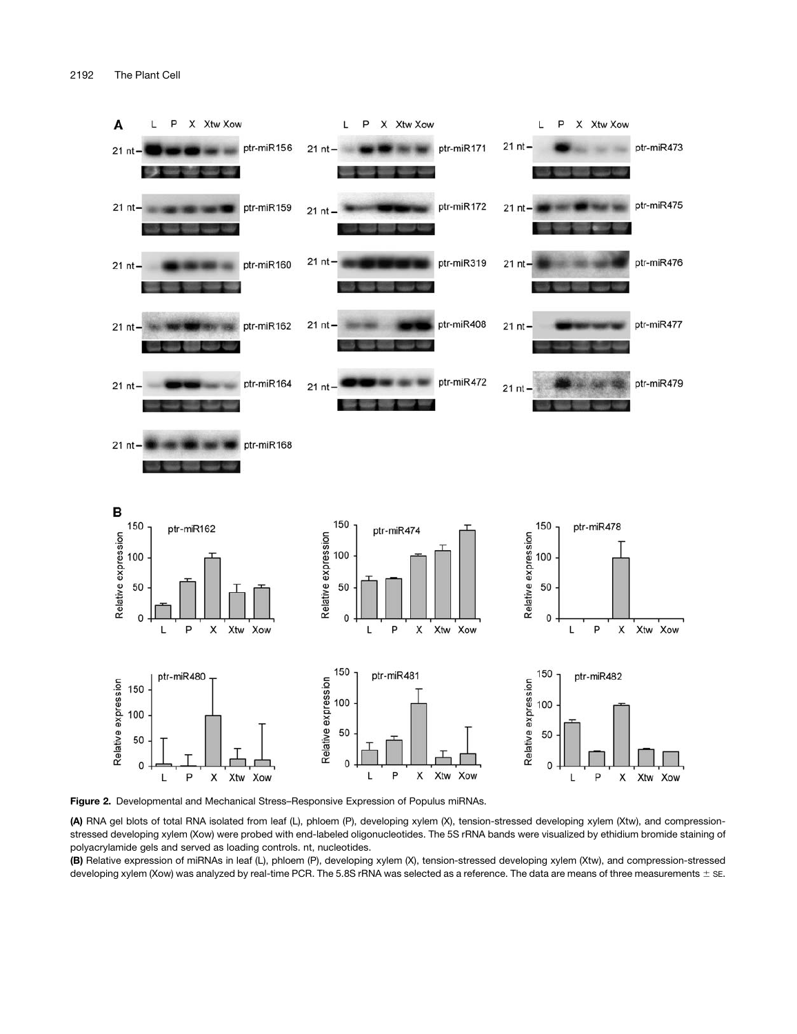

Figure 2. Developmental and Mechanical Stress–Responsive Expression of Populus miRNAs.

(A) RNA gel blots of total RNA isolated from leaf (L), phloem (P), developing xylem (X), tension-stressed developing xylem (Xtw), and compressionstressed developing xylem (Xow) were probed with end-labeled oligonucleotides. The 5S rRNA bands were visualized by ethidium bromide staining of polyacrylamide gels and served as loading controls. nt, nucleotides.

(B) Relative expression of miRNAs in leaf (L), phloem (P), developing xylem (X), tension-stressed developing xylem (Xtw), and compression-stressed developing xylem (Xow) was analyzed by real-time PCR. The 5.8S rRNA was selected as a reference. The data are means of three measurements  $\pm$  SE.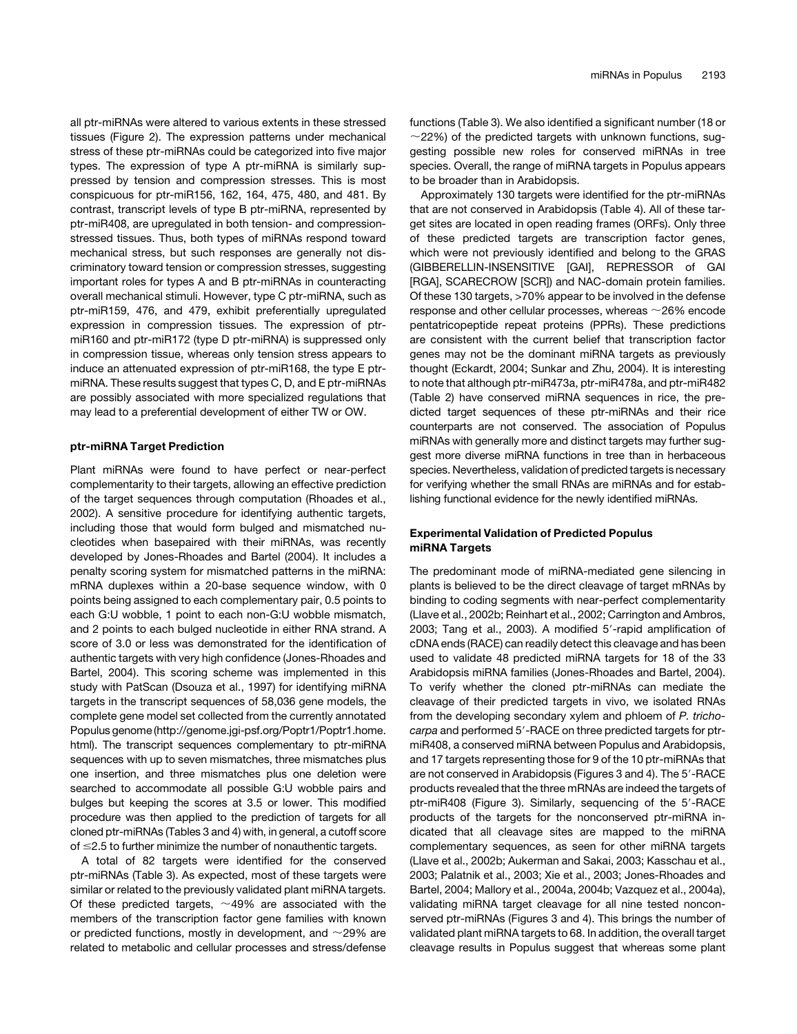all ptr-miRNAs were altered to various extents in these stressed tissues (Figure 2). The expression patterns under mechanical stress of these ptr-miRNAs could be categorized into five major types. The expression of type A ptr-miRNA is similarly suppressed by tension and compression stresses. This is most conspicuous for ptr-miR156, 162, 164, 475, 480, and 481. By contrast, transcript levels of type B ptr-miRNA, represented by ptr-miR408, are upregulated in both tension- and compressionstressed tissues. Thus, both types of miRNAs respond toward mechanical stress, but such responses are generally not discriminatory toward tension or compression stresses, suggesting important roles for types A and B ptr-miRNAs in counteracting overall mechanical stimuli. However, type C ptr-miRNA, such as ptr-miR159, 476, and 479, exhibit preferentially upregulated expression in compression tissues. The expression of ptrmiR160 and ptr-miR172 (type D ptr-miRNA) is suppressed only in compression tissue, whereas only tension stress appears to induce an attenuated expression of ptr-miR168, the type E ptrmiRNA. These results suggest that types C, D, and E ptr-miRNAs are possibly associated with more specialized regulations that may lead to a preferential development of either TW or OW.

### ptr-miRNA Target Prediction

Plant miRNAs were found to have perfect or near-perfect complementarity to their targets, allowing an effective prediction of the target sequences through computation (Rhoades et al., 2002). A sensitive procedure for identifying authentic targets, including those that would form bulged and mismatched nucleotides when basepaired with their miRNAs, was recently developed by Jones-Rhoades and Bartel (2004). It includes a penalty scoring system for mismatched patterns in the miRNA: mRNA duplexes within a 20-base sequence window, with 0 points being assigned to each complementary pair, 0.5 points to each G:U wobble, 1 point to each non-G:U wobble mismatch, and 2 points to each bulged nucleotide in either RNA strand. A score of 3.0 or less was demonstrated for the identification of authentic targets with very high confidence (Jones-Rhoades and Bartel, 2004). This scoring scheme was implemented in this study with PatScan (Dsouza et al., 1997) for identifying miRNA targets in the transcript sequences of 58,036 gene models, the complete gene model set collected from the currently annotated Populus genome (http://genome.jgi-psf.org/Poptr1/Poptr1.home. html). The transcript sequences complementary to ptr-miRNA sequences with up to seven mismatches, three mismatches plus one insertion, and three mismatches plus one deletion were searched to accommodate all possible G:U wobble pairs and bulges but keeping the scores at 3.5 or lower. This modified procedure was then applied to the prediction of targets for all cloned ptr-miRNAs (Tables 3 and 4) with, in general, a cutoff score of  $\leq$ 2.5 to further minimize the number of nonauthentic targets.

A total of 82 targets were identified for the conserved ptr-miRNAs (Table 3). As expected, most of these targets were similar or related to the previously validated plant miRNA targets. Of these predicted targets,  $\sim$  49% are associated with the members of the transcription factor gene families with known or predicted functions, mostly in development, and  $\sim$ 29% are related to metabolic and cellular processes and stress/defense functions (Table 3). We also identified a significant number (18 or  $\sim$ 22%) of the predicted targets with unknown functions, suggesting possible new roles for conserved miRNAs in tree species. Overall, the range of miRNA targets in Populus appears to be broader than in Arabidopsis.

Approximately 130 targets were identified for the ptr-miRNAs that are not conserved in Arabidopsis (Table 4). All of these target sites are located in open reading frames (ORFs). Only three of these predicted targets are transcription factor genes, which were not previously identified and belong to the GRAS (GIBBERELLIN-INSENSITIVE [GAI], REPRESSOR of GAI [RGA], SCARECROW [SCR]) and NAC-domain protein families. Of these 130 targets, >70% appear to be involved in the defense response and other cellular processes, whereas  $\sim$  26% encode pentatricopeptide repeat proteins (PPRs). These predictions are consistent with the current belief that transcription factor genes may not be the dominant miRNA targets as previously thought (Eckardt, 2004; Sunkar and Zhu, 2004). It is interesting to note that although ptr-miR473a, ptr-miR478a, and ptr-miR482 (Table 2) have conserved miRNA sequences in rice, the predicted target sequences of these ptr-miRNAs and their rice counterparts are not conserved. The association of Populus miRNAs with generally more and distinct targets may further suggest more diverse miRNA functions in tree than in herbaceous species. Nevertheless, validation of predicted targets is necessary for verifying whether the small RNAs are miRNAs and for establishing functional evidence for the newly identified miRNAs.

### Experimental Validation of Predicted Populus miRNA Targets

The predominant mode of miRNA-mediated gene silencing in plants is believed to be the direct cleavage of target mRNAs by binding to coding segments with near-perfect complementarity (Llave et al., 2002b; Reinhart et al., 2002; Carrington and Ambros, 2003; Tang et al., 2003). A modified 5'-rapid amplification of cDNA ends (RACE) can readily detect this cleavage and has been used to validate 48 predicted miRNA targets for 18 of the 33 Arabidopsis miRNA families (Jones-Rhoades and Bartel, 2004). To verify whether the cloned ptr-miRNAs can mediate the cleavage of their predicted targets in vivo, we isolated RNAs from the developing secondary xylem and phloem of *P. trichocarpa* and performed 5'-RACE on three predicted targets for ptrmiR408, a conserved miRNA between Populus and Arabidopsis, and 17 targets representing those for 9 of the 10 ptr-miRNAs that are not conserved in Arabidopsis (Figures 3 and 4). The 5'-RACE products revealed that the three mRNAs are indeed the targets of ptr-miR408 (Figure 3). Similarly, sequencing of the 5'-RACE products of the targets for the nonconserved ptr-miRNA indicated that all cleavage sites are mapped to the miRNA complementary sequences, as seen for other miRNA targets (Llave et al., 2002b; Aukerman and Sakai, 2003; Kasschau et al., 2003; Palatnik et al., 2003; Xie et al., 2003; Jones-Rhoades and Bartel, 2004; Mallory et al., 2004a, 2004b; Vazquez et al., 2004a), validating miRNA target cleavage for all nine tested nonconserved ptr-miRNAs (Figures 3 and 4). This brings the number of validated plant miRNA targets to 68. In addition, the overall target cleavage results in Populus suggest that whereas some plant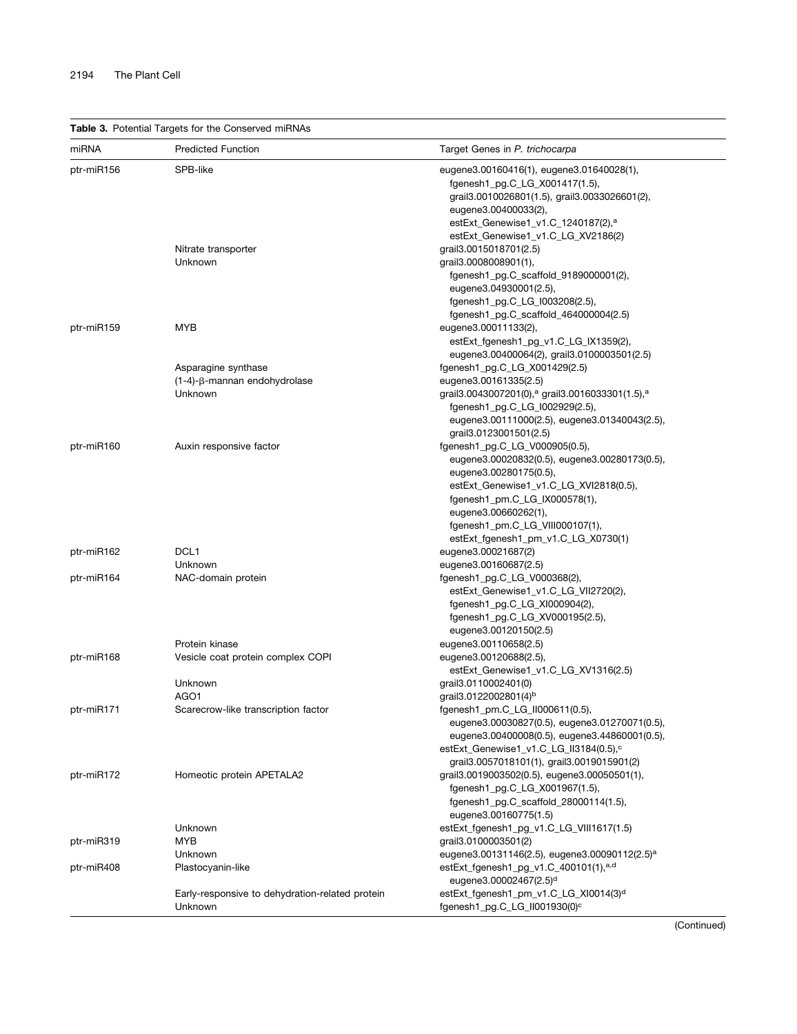Table 3. Potential Targets for the Conserved miRNAs

| SPB-like<br>ptr-miR156<br>eugene3.00160416(1), eugene3.01640028(1),                      |  |
|------------------------------------------------------------------------------------------|--|
|                                                                                          |  |
| fgenesh1_pg.C_LG_X001417(1.5),                                                           |  |
| grail3.0010026801(1.5), grail3.0033026601(2),                                            |  |
| eugene3.00400033(2),                                                                     |  |
| estExt_Genewise1_v1.C_1240187(2), <sup>a</sup>                                           |  |
| estExt_Genewise1_v1.C_LG_XV2186(2)                                                       |  |
| grail 3.0015018701(2.5)<br>Nitrate transporter                                           |  |
| Unknown<br>grail 3.0008008901(1),                                                        |  |
| fgenesh1_pg.C_scaffold_9189000001(2),                                                    |  |
| eugene3.04930001(2.5),                                                                   |  |
| fgenesh1_pg.C_LG_I003208(2.5),                                                           |  |
| fgenesh1_pg.C_scaffold_464000004(2.5)                                                    |  |
| <b>MYB</b><br>ptr-miR159<br>eugene3.00011133(2),                                         |  |
| estExt_fgenesh1_pg_v1.C_LG_IX1359(2),                                                    |  |
| eugene3.00400064(2), grail3.0100003501(2.5)                                              |  |
| fgenesh1_pg.C_LG_X001429(2.5)<br>Asparagine synthase                                     |  |
| eugene3.00161335(2.5)<br>(1-4)-β-mannan endohydrolase                                    |  |
| grail3.0043007201(0), <sup>a</sup> grail3.0016033301(1.5), <sup>a</sup><br>Unknown       |  |
|                                                                                          |  |
| fgenesh1_pg.C_LG_I002929(2.5),                                                           |  |
| eugene3.00111000(2.5), eugene3.01340043(2.5),                                            |  |
| grail3.0123001501(2.5)                                                                   |  |
| ptr-miR160<br>Auxin responsive factor<br>fgenesh1_pg.C_LG_V000905(0.5),                  |  |
| eugene3.00020832(0.5), eugene3.00280173(0.5),                                            |  |
| eugene3.00280175(0.5),                                                                   |  |
| estExt_Genewise1_v1.C_LG_XVI2818(0.5),                                                   |  |
| fgenesh1_pm.C_LG_IX000578(1),                                                            |  |
| eugene3.00660262(1),                                                                     |  |
| fgenesh1_pm.C_LG_VIII000107(1),                                                          |  |
| estExt_fgenesh1_pm_v1.C_LG_X0730(1)                                                      |  |
| DCL <sub>1</sub><br>eugene3.00021687(2)<br>ptr-miR162                                    |  |
| Unknown<br>eugene3.00160687(2.5)                                                         |  |
| ptr-miR164<br>NAC-domain protein<br>fgenesh1_pg.C_LG_V000368(2),                         |  |
| estExt_Genewise1_v1.C_LG_VII2720(2),                                                     |  |
| fgenesh1_pg.C_LG_XI000904(2),                                                            |  |
| fgenesh1_pg.C_LG_XV000195(2.5),                                                          |  |
| eugene3.00120150(2.5)                                                                    |  |
| Protein kinase<br>eugene3.00110658(2.5)                                                  |  |
| ptr-miR168<br>Vesicle coat protein complex COPI<br>eugene3.00120688(2.5),                |  |
| estExt_Genewise1_v1.C_LG_XV1316(2.5)                                                     |  |
| Unknown<br>grail 3.0110002401(0)                                                         |  |
| AGO1<br>grail3.0122002801(4) <sup>b</sup>                                                |  |
| ptr-miR171<br>Scarecrow-like transcription factor<br>fgenesh1_pm.C_LG_II000611(0.5),     |  |
| eugene3.00030827(0.5), eugene3.01270071(0.5),                                            |  |
| eugene3.00400008(0.5), eugene3.44860001(0.5),                                            |  |
| estExt Genewise1 v1.C LG II3184(0.5), <sup>c</sup>                                       |  |
| grail3.0057018101(1), grail3.0019015901(2)                                               |  |
| grail3.0019003502(0.5), eugene3.00050501(1),<br>ptr-miR172<br>Homeotic protein APETALA2  |  |
| fgenesh1_pg.C_LG_X001967(1.5),                                                           |  |
| fgenesh1_pg.C_scaffold_28000114(1.5),                                                    |  |
| eugene3.00160775(1.5)                                                                    |  |
| Unknown<br>estExt_fgenesh1_pg_v1.C_LG_VIII1617(1.5)                                      |  |
| MYB                                                                                      |  |
| grail 3.0100003501(2)<br>ptr-miR319                                                      |  |
| eugene3.00131146(2.5), eugene3.00090112(2.5) <sup>a</sup><br>Unknown                     |  |
| estExt_fgenesh1_pg_v1.C_400101(1),a,d<br>ptr-miR408<br>Plastocyanin-like                 |  |
| eugene3.00002467(2.5) <sup>d</sup>                                                       |  |
| estExt_fgenesh1_pm_v1.C_LG_XI0014(3)d<br>Early-responsive to dehydration-related protein |  |
| fgenesh1_pg.C_LG_II001930(0) <sup>c</sup><br>Unknown                                     |  |

(Continued)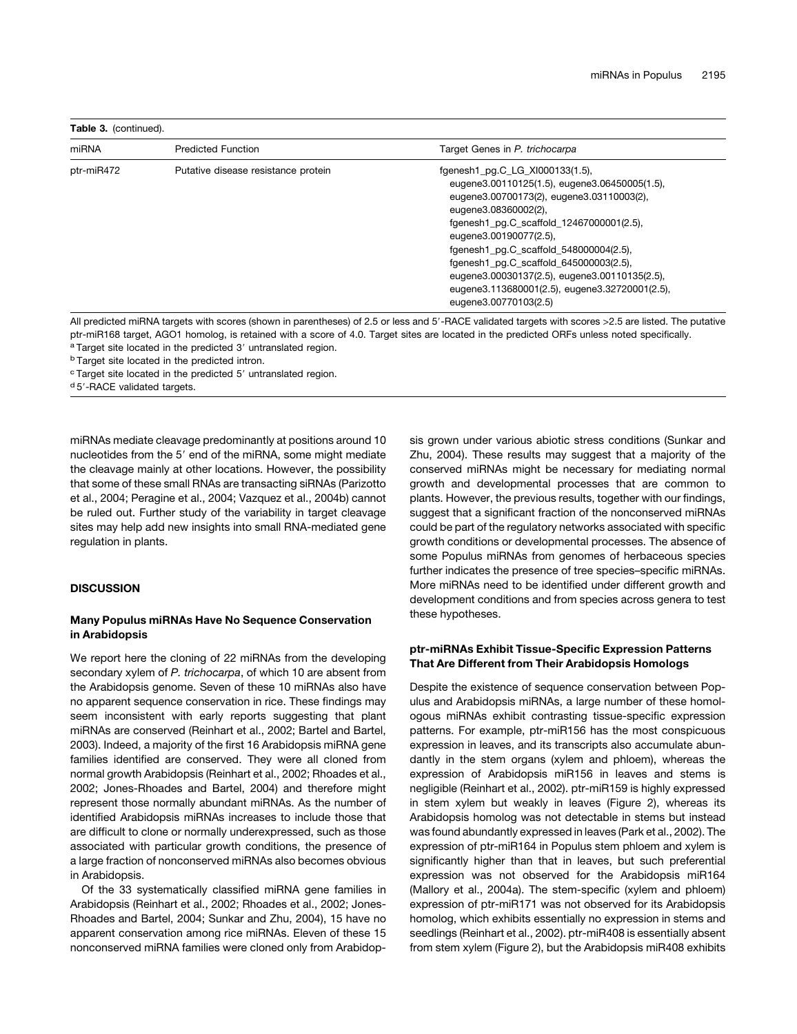| miRNA      | <b>Predicted Function</b>           | Target Genes in P. trichocarpa                                                                                                                                                                                                                                                                                                                                                                                                              |
|------------|-------------------------------------|---------------------------------------------------------------------------------------------------------------------------------------------------------------------------------------------------------------------------------------------------------------------------------------------------------------------------------------------------------------------------------------------------------------------------------------------|
| ptr-miR472 | Putative disease resistance protein | fgenesh1 pg.C LG XI000133(1.5),<br>eugene3.00110125(1.5), eugene3.06450005(1.5),<br>eugene3.00700173(2), eugene3.03110003(2),<br>eugene3.08360002(2),<br>fgenesh1_pg.C_scaffold_12467000001(2.5),<br>eugene3.00190077(2.5),<br>fgenesh1 pg.C scaffold 548000004(2.5),<br>fgenesh1_pg.C_scaffold_645000003(2.5),<br>eugene3.00030137(2.5), eugene3.00110135(2.5),<br>eugene3.113680001(2.5), eugene3.32720001(2.5),<br>eugene3.00770103(2.5) |

All predicted miRNA targets with scores (shown in parentheses) of 2.5 or less and 5'-RACE validated targets with scores > 2.5 are listed. The putative ptr-miR168 target, AGO1 homolog, is retained with a score of 4.0. Target sites are located in the predicted ORFs unless noted specifically.

<sup>a</sup> Target site located in the predicted 3' untranslated region.

<sup>b</sup> Target site located in the predicted intron.

 $c$  Target site located in the predicted 5 $^{\prime}$  untranslated region.

d 5'-RACE validated targets.

miRNAs mediate cleavage predominantly at positions around 10 nucleotides from the 5' end of the miRNA, some might mediate the cleavage mainly at other locations. However, the possibility that some of these small RNAs are transacting siRNAs (Parizotto et al., 2004; Peragine et al., 2004; Vazquez et al., 2004b) cannot be ruled out. Further study of the variability in target cleavage sites may help add new insights into small RNA-mediated gene regulation in plants.

### **DISCUSSION**

### Many Populus miRNAs Have No Sequence Conservation in Arabidopsis

We report here the cloning of 22 miRNAs from the developing secondary xylem of *P. trichocarpa*, of which 10 are absent from the Arabidopsis genome. Seven of these 10 miRNAs also have no apparent sequence conservation in rice. These findings may seem inconsistent with early reports suggesting that plant miRNAs are conserved (Reinhart et al., 2002; Bartel and Bartel, 2003). Indeed, a majority of the first 16 Arabidopsis miRNA gene families identified are conserved. They were all cloned from normal growth Arabidopsis (Reinhart et al., 2002; Rhoades et al., 2002; Jones-Rhoades and Bartel, 2004) and therefore might represent those normally abundant miRNAs. As the number of identified Arabidopsis miRNAs increases to include those that are difficult to clone or normally underexpressed, such as those associated with particular growth conditions, the presence of a large fraction of nonconserved miRNAs also becomes obvious in Arabidopsis.

Of the 33 systematically classified miRNA gene families in Arabidopsis (Reinhart et al., 2002; Rhoades et al., 2002; Jones-Rhoades and Bartel, 2004; Sunkar and Zhu, 2004), 15 have no apparent conservation among rice miRNAs. Eleven of these 15 nonconserved miRNA families were cloned only from Arabidopsis grown under various abiotic stress conditions (Sunkar and Zhu, 2004). These results may suggest that a majority of the conserved miRNAs might be necessary for mediating normal growth and developmental processes that are common to plants. However, the previous results, together with our findings, suggest that a significant fraction of the nonconserved miRNAs could be part of the regulatory networks associated with specific growth conditions or developmental processes. The absence of some Populus miRNAs from genomes of herbaceous species further indicates the presence of tree species–specific miRNAs. More miRNAs need to be identified under different growth and development conditions and from species across genera to test these hypotheses.

### ptr-miRNAs Exhibit Tissue-Specific Expression Patterns That Are Different from Their Arabidopsis Homologs

Despite the existence of sequence conservation between Populus and Arabidopsis miRNAs, a large number of these homologous miRNAs exhibit contrasting tissue-specific expression patterns. For example, ptr-miR156 has the most conspicuous expression in leaves, and its transcripts also accumulate abundantly in the stem organs (xylem and phloem), whereas the expression of Arabidopsis miR156 in leaves and stems is negligible (Reinhart et al., 2002). ptr-miR159 is highly expressed in stem xylem but weakly in leaves (Figure 2), whereas its Arabidopsis homolog was not detectable in stems but instead was found abundantly expressed in leaves (Park et al., 2002). The expression of ptr-miR164 in Populus stem phloem and xylem is significantly higher than that in leaves, but such preferential expression was not observed for the Arabidopsis miR164 (Mallory et al., 2004a). The stem-specific (xylem and phloem) expression of ptr-miR171 was not observed for its Arabidopsis homolog, which exhibits essentially no expression in stems and seedlings (Reinhart et al., 2002). ptr-miR408 is essentially absent from stem xylem (Figure 2), but the Arabidopsis miR408 exhibits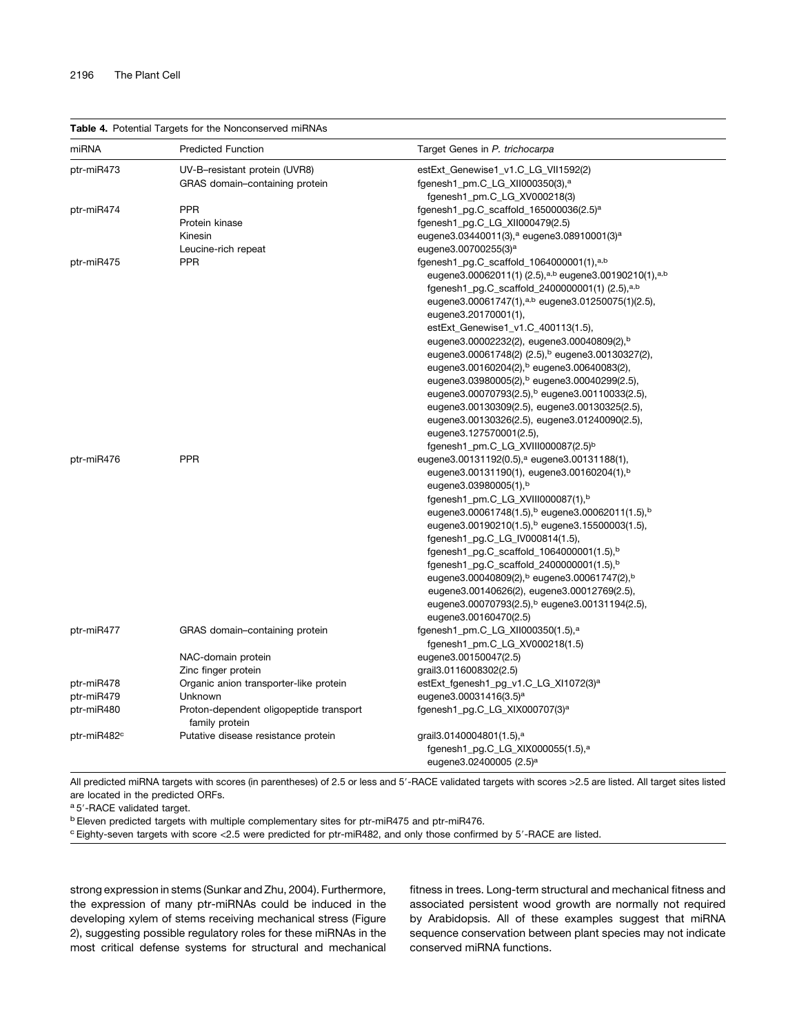Table 4. Potential Targets for the Nonconserved miRNAs

| miRNA                   | <b>Predicted Function</b>                                 | Target Genes in P. trichocarpa                                                |
|-------------------------|-----------------------------------------------------------|-------------------------------------------------------------------------------|
| ptr-miR473              | UV-B-resistant protein (UVR8)                             | estExt_Genewise1_v1.C_LG_VII1592(2)                                           |
|                         | GRAS domain-containing protein                            | fgenesh1_pm.C_LG_XII000350(3), <sup>a</sup>                                   |
|                         |                                                           | fgenesh1_pm.C_LG_XV000218(3)                                                  |
| ptr-miR474              | <b>PPR</b>                                                | fgenesh1_pg.C_scaffold_165000036(2.5) <sup>a</sup>                            |
|                         | Protein kinase                                            | fgenesh1_pg.C_LG_XII000479(2.5)                                               |
|                         | Kinesin                                                   | eugene3.03440011(3), <sup>a</sup> eugene3.08910001(3) <sup>a</sup>            |
|                         | Leucine-rich repeat                                       | eugene3.00700255(3) <sup>a</sup>                                              |
| ptr-miR475              | <b>PPR</b>                                                | fgenesh1_pg.C_scaffold_1064000001(1), $a,b$                                   |
|                         |                                                           | eugene3.00062011(1) (2.5), <sup>a,b</sup> eugene3.00190210(1), <sup>a,b</sup> |
|                         |                                                           | fgenesh1_pg.C_scaffold_2400000001(1) (2.5), <sup>a,b</sup>                    |
|                         |                                                           | eugene3.00061747(1), <sup>a,b</sup> eugene3.01250075(1)(2.5),                 |
|                         |                                                           | eugene3.20170001(1),                                                          |
|                         |                                                           | estExt_Genewise1_v1.C_400113(1.5),                                            |
|                         |                                                           | eugene3.00002232(2), eugene3.00040809(2), <sup>b</sup>                        |
|                         |                                                           | eugene3.00061748(2) (2.5), <sup>b</sup> eugene3.00130327(2),                  |
|                         |                                                           | eugene3.00160204(2), b eugene3.00640083(2),                                   |
|                         |                                                           | eugene3.03980005(2), b eugene3.00040299(2.5),                                 |
|                         |                                                           | eugene3.00070793(2.5), b eugene3.00110033(2.5),                               |
|                         |                                                           | eugene3.00130309(2.5), eugene3.00130325(2.5),                                 |
|                         |                                                           | eugene3.00130326(2.5), eugene3.01240090(2.5),                                 |
|                         |                                                           | eugene3.127570001(2.5),                                                       |
|                         |                                                           | fgenesh1_pm.C_LG_XVIII000087(2.5) <sup>b</sup>                                |
| ptr-miR476              | <b>PPR</b>                                                | eugene3.00131192(0.5), <sup>a</sup> eugene3.00131188(1),                      |
|                         |                                                           | eugene3.00131190(1), eugene3.00160204(1), <sup>b</sup>                        |
|                         |                                                           | eugene3.03980005(1),b                                                         |
|                         |                                                           | fgenesh1_pm.C_LG_XVIII000087(1),b                                             |
|                         |                                                           | eugene3.00061748(1.5), b eugene3.00062011(1.5), b                             |
|                         |                                                           | eugene3.00190210(1.5), b eugene3.15500003(1.5),                               |
|                         |                                                           | fgenesh1_pg.C_LG_IV000814(1.5),                                               |
|                         |                                                           | fgenesh1_pg.C_scaffold_1064000001(1.5), <sup>b</sup>                          |
|                         |                                                           | fgenesh1_pg.C_scaffold_2400000001(1.5), <sup>b</sup>                          |
|                         |                                                           | eugene3.00040809(2), b eugene3.00061747(2), b                                 |
|                         |                                                           | eugene3.00140626(2), eugene3.00012769(2.5),                                   |
|                         |                                                           | eugene3.00070793(2.5), b eugene3.00131194(2.5),                               |
|                         |                                                           | eugene3.00160470(2.5)                                                         |
| ptr-miR477              | GRAS domain-containing protein                            | fgenesh1_pm.C_LG_XII000350(1.5), <sup>a</sup>                                 |
|                         |                                                           | fgenesh1_pm.C_LG_XV000218(1.5)                                                |
|                         | NAC-domain protein                                        | eugene3.00150047(2.5)                                                         |
|                         | Zinc finger protein                                       | grail 3.0116008302(2.5)                                                       |
| ptr-miR478              | Organic anion transporter-like protein                    | estExt_fgenesh1_pg_v1.C_LG_XI1072(3) <sup>a</sup>                             |
| ptr-miR479              | Unknown                                                   | eugene3.00031416(3.5) <sup>a</sup>                                            |
| ptr-miR480              | Proton-dependent oligopeptide transport<br>family protein | fgenesh1_pg.C_LG_XIX000707(3) <sup>a</sup>                                    |
| ptr-miR482 <sup>c</sup> | Putative disease resistance protein                       | grail 3.0140004801(1.5), <sup>a</sup>                                         |
|                         |                                                           | fgenesh1_pg.C_LG_XIX000055(1.5), <sup>a</sup>                                 |
|                         |                                                           | eugene3.02400005 (2.5) <sup>a</sup>                                           |

All predicted miRNA targets with scores (in parentheses) of 2.5 or less and 5'-RACE validated targets with scores >2.5 are listed. All target sites listed are located in the predicted ORFs.

a 5'-RACE validated target.

<sup>b</sup> Eleven predicted targets with multiple complementary sites for ptr-miR475 and ptr-miR476.

<sup>c</sup> Eighty-seven targets with score <2.5 were predicted for ptr-miR482, and only those confirmed by 5'-RACE are listed.

strong expression in stems (Sunkar and Zhu, 2004). Furthermore, the expression of many ptr-miRNAs could be induced in the developing xylem of stems receiving mechanical stress (Figure 2), suggesting possible regulatory roles for these miRNAs in the most critical defense systems for structural and mechanical

fitness in trees. Long-term structural and mechanical fitness and associated persistent wood growth are normally not required by Arabidopsis. All of these examples suggest that miRNA sequence conservation between plant species may not indicate conserved miRNA functions.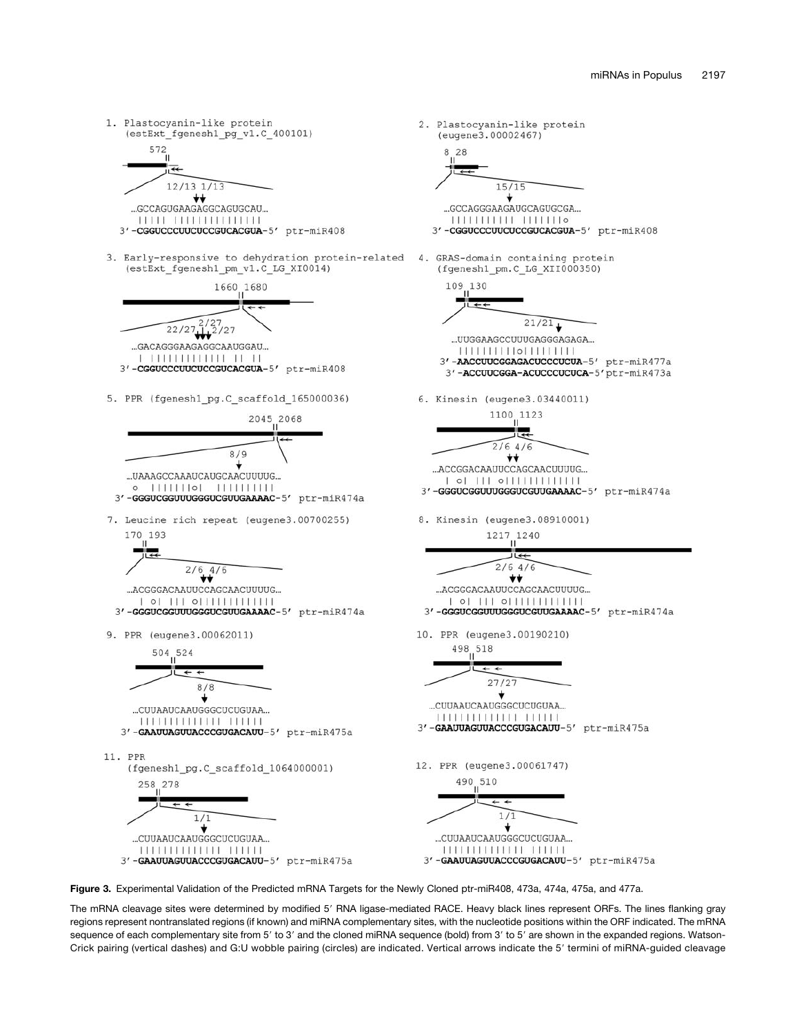



The mRNA cleavage sites were determined by modified 5' RNA ligase-mediated RACE. Heavy black lines represent ORFs. The lines flanking gray regions represent nontranslated regions (if known) and miRNA complementary sites, with the nucleotide positions within the ORF indicated. The mRNA sequence of each complementary site from 5' to 3' and the cloned miRNA sequence (bold) from 3' to 5' are shown in the expanded regions. Watson-Crick pairing (vertical dashes) and G:U wobble pairing (circles) are indicated. Vertical arrows indicate the 5' termini of miRNA-guided cleavage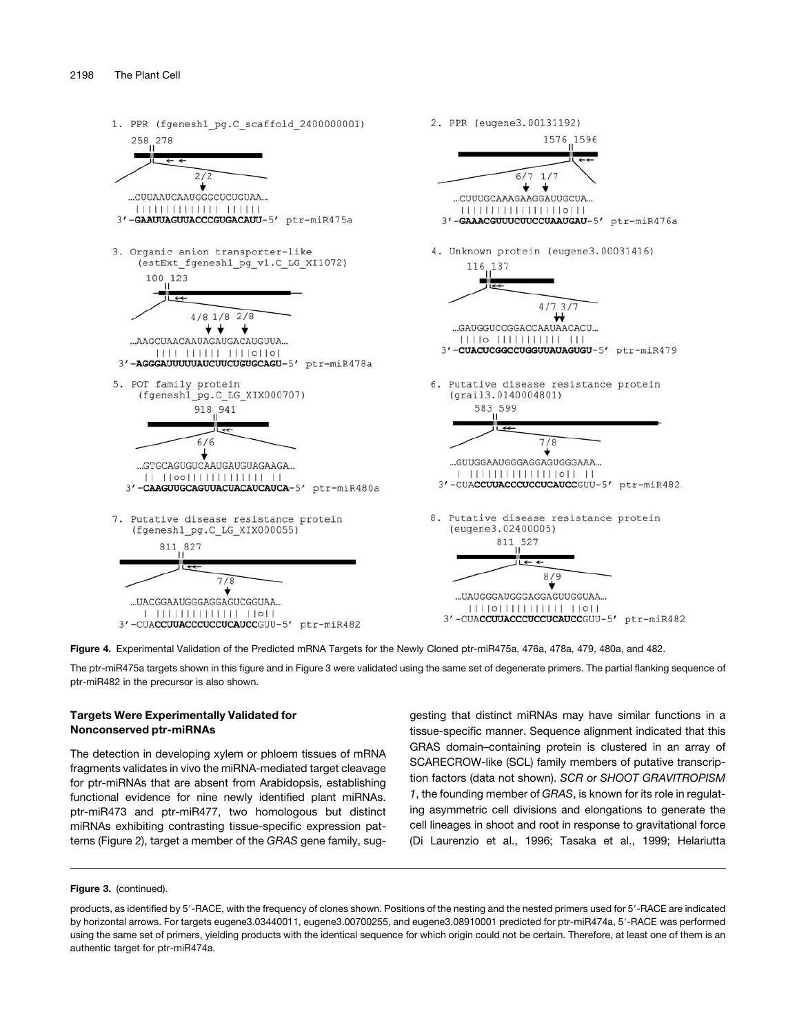



The ptr-miR475a targets shown in this figure and in Figure 3 were validated using the same set of degenerate primers. The partial flanking sequence of ptr-miR482 in the precursor is also shown.

### Targets Were Experimentally Validated for Nonconserved ptr-miRNAs

The detection in developing xylem or phloem tissues of mRNA fragments validates in vivo the miRNA-mediated target cleavage for ptr-miRNAs that are absent from Arabidopsis, establishing functional evidence for nine newly identified plant miRNAs. ptr-miR473 and ptr-miR477, two homologous but distinct miRNAs exhibiting contrasting tissue-specific expression patterns (Figure 2), target a member of the *GRAS* gene family, suggesting that distinct miRNAs may have similar functions in a tissue-specific manner. Sequence alignment indicated that this GRAS domain–containing protein is clustered in an array of SCARECROW*-*like (SCL) family members of putative transcription factors (data not shown). *SCR* or *SHOOT GRAVITROPISM 1*, the founding member of *GRAS*, is known for its role in regulating asymmetric cell divisions and elongations to generate the cell lineages in shoot and root in response to gravitational force (Di Laurenzio et al., 1996; Tasaka et al., 1999; Helariutta

### Figure 3. (continued).

products, as identified by 5'-RACE, with the frequency of clones shown. Positions of the nesting and the nested primers used for 5'-RACE are indicated by horizontal arrows. For targets eugene3.03440011, eugene3.00700255, and eugene3.08910001 predicted for ptr-miR474a, 5'-RACE was performed using the same set of primers, yielding products with the identical sequence for which origin could not be certain. Therefore, at least one of them is an authentic target for ptr-miR474a.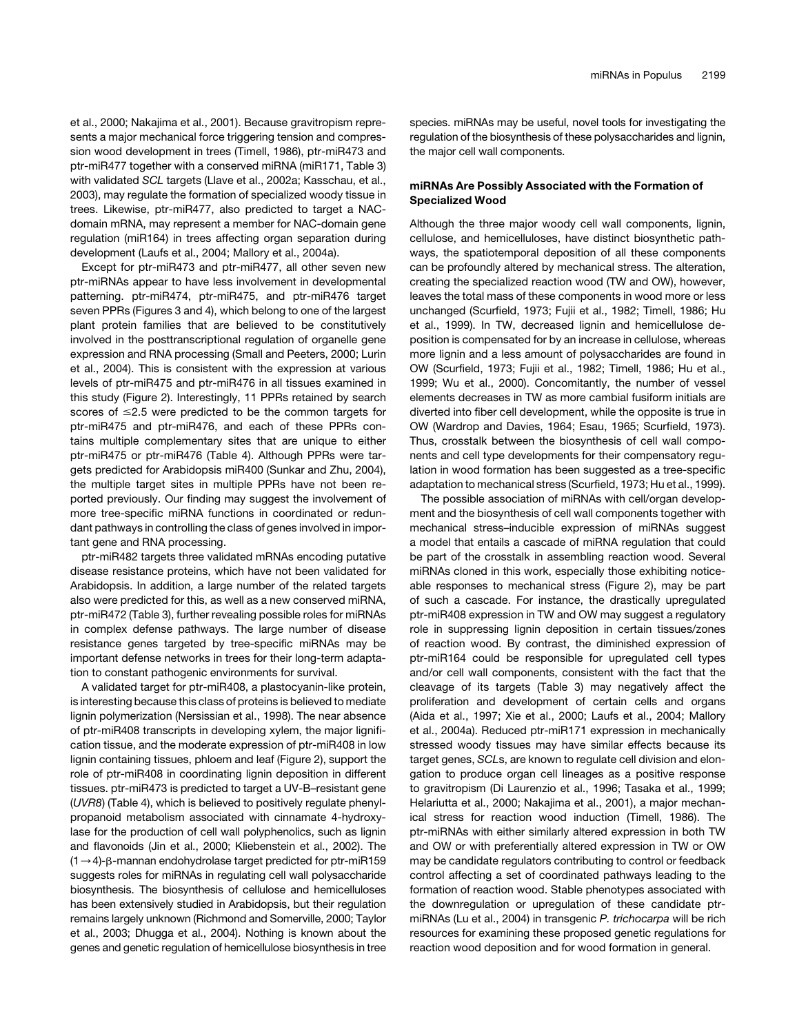et al., 2000; Nakajima et al., 2001). Because gravitropism represents a major mechanical force triggering tension and compression wood development in trees (Timell, 1986), ptr-miR473 and ptr-miR477 together with a conserved miRNA (miR171, Table 3) with validated *SCL* targets (Llave et al., 2002a; Kasschau, et al., 2003), may regulate the formation of specialized woody tissue in trees. Likewise, ptr-miR477, also predicted to target a NACdomain mRNA, may represent a member for NAC-domain gene regulation (miR164) in trees affecting organ separation during development (Laufs et al., 2004; Mallory et al., 2004a).

Except for ptr-miR473 and ptr-miR477, all other seven new ptr-miRNAs appear to have less involvement in developmental patterning. ptr-miR474, ptr-miR475, and ptr-miR476 target seven PPRs (Figures 3 and 4), which belong to one of the largest plant protein families that are believed to be constitutively involved in the posttranscriptional regulation of organelle gene expression and RNA processing (Small and Peeters, 2000; Lurin et al., 2004). This is consistent with the expression at various levels of ptr-miR475 and ptr-miR476 in all tissues examined in this study (Figure 2). Interestingly, 11 PPRs retained by search scores of  $\leq$ 2.5 were predicted to be the common targets for ptr-miR475 and ptr-miR476, and each of these PPRs contains multiple complementary sites that are unique to either ptr-miR475 or ptr-miR476 (Table 4). Although PPRs were targets predicted for Arabidopsis miR400 (Sunkar and Zhu, 2004), the multiple target sites in multiple PPRs have not been reported previously. Our finding may suggest the involvement of more tree-specific miRNA functions in coordinated or redundant pathways in controlling the class of genes involved in important gene and RNA processing.

ptr-miR482 targets three validated mRNAs encoding putative disease resistance proteins, which have not been validated for Arabidopsis. In addition, a large number of the related targets also were predicted for this, as well as a new conserved miRNA, ptr-miR472 (Table 3), further revealing possible roles for miRNAs in complex defense pathways. The large number of disease resistance genes targeted by tree-specific miRNAs may be important defense networks in trees for their long-term adaptation to constant pathogenic environments for survival.

A validated target for ptr-miR408, a plastocyanin-like protein, is interesting because this class of proteins is believed to mediate lignin polymerization (Nersissian et al., 1998). The near absence of ptr-miR408 transcripts in developing xylem, the major lignification tissue, and the moderate expression of ptr-miR408 in low lignin containing tissues, phloem and leaf (Figure 2), support the role of ptr-miR408 in coordinating lignin deposition in different tissues. ptr-miR473 is predicted to target a UV-B–resistant gene (*UVR8*) (Table 4), which is believed to positively regulate phenylpropanoid metabolism associated with cinnamate 4-hydroxylase for the production of cell wall polyphenolics, such as lignin and flavonoids (Jin et al., 2000; Kliebenstein et al., 2002). The  $(1 \rightarrow 4)$ - $\beta$ -mannan endohydrolase target predicted for ptr-miR159 suggests roles for miRNAs in regulating cell wall polysaccharide biosynthesis. The biosynthesis of cellulose and hemicelluloses has been extensively studied in Arabidopsis, but their regulation remains largely unknown (Richmond and Somerville, 2000; Taylor et al., 2003; Dhugga et al., 2004). Nothing is known about the genes and genetic regulation of hemicellulose biosynthesis in tree species. miRNAs may be useful, novel tools for investigating the regulation of the biosynthesis of these polysaccharides and lignin, the major cell wall components.

### miRNAs Are Possibly Associated with the Formation of Specialized Wood

Although the three major woody cell wall components, lignin, cellulose, and hemicelluloses, have distinct biosynthetic pathways, the spatiotemporal deposition of all these components can be profoundly altered by mechanical stress. The alteration, creating the specialized reaction wood (TW and OW), however, leaves the total mass of these components in wood more or less unchanged (Scurfield, 1973; Fujii et al., 1982; Timell, 1986; Hu et al., 1999). In TW, decreased lignin and hemicellulose deposition is compensated for by an increase in cellulose, whereas more lignin and a less amount of polysaccharides are found in OW (Scurfield, 1973; Fujii et al., 1982; Timell, 1986; Hu et al., 1999; Wu et al., 2000). Concomitantly, the number of vessel elements decreases in TW as more cambial fusiform initials are diverted into fiber cell development, while the opposite is true in OW (Wardrop and Davies, 1964; Esau, 1965; Scurfield, 1973). Thus, crosstalk between the biosynthesis of cell wall components and cell type developments for their compensatory regulation in wood formation has been suggested as a tree-specific adaptation to mechanical stress (Scurfield, 1973; Hu et al., 1999).

The possible association of miRNAs with cell/organ development and the biosynthesis of cell wall components together with mechanical stress–inducible expression of miRNAs suggest a model that entails a cascade of miRNA regulation that could be part of the crosstalk in assembling reaction wood. Several miRNAs cloned in this work, especially those exhibiting noticeable responses to mechanical stress (Figure 2), may be part of such a cascade. For instance, the drastically upregulated ptr-miR408 expression in TW and OW may suggest a regulatory role in suppressing lignin deposition in certain tissues/zones of reaction wood. By contrast, the diminished expression of ptr-miR164 could be responsible for upregulated cell types and/or cell wall components, consistent with the fact that the cleavage of its targets (Table 3) may negatively affect the proliferation and development of certain cells and organs (Aida et al., 1997; Xie et al., 2000; Laufs et al., 2004; Mallory et al., 2004a). Reduced ptr-miR171 expression in mechanically stressed woody tissues may have similar effects because its target genes, *SCL*s, are known to regulate cell division and elongation to produce organ cell lineages as a positive response to gravitropism (Di Laurenzio et al., 1996; Tasaka et al., 1999; Helariutta et al., 2000; Nakajima et al., 2001), a major mechanical stress for reaction wood induction (Timell, 1986). The ptr-miRNAs with either similarly altered expression in both TW and OW or with preferentially altered expression in TW or OW may be candidate regulators contributing to control or feedback control affecting a set of coordinated pathways leading to the formation of reaction wood. Stable phenotypes associated with the downregulation or upregulation of these candidate ptrmiRNAs (Lu et al., 2004) in transgenic *P. trichocarpa* will be rich resources for examining these proposed genetic regulations for reaction wood deposition and for wood formation in general.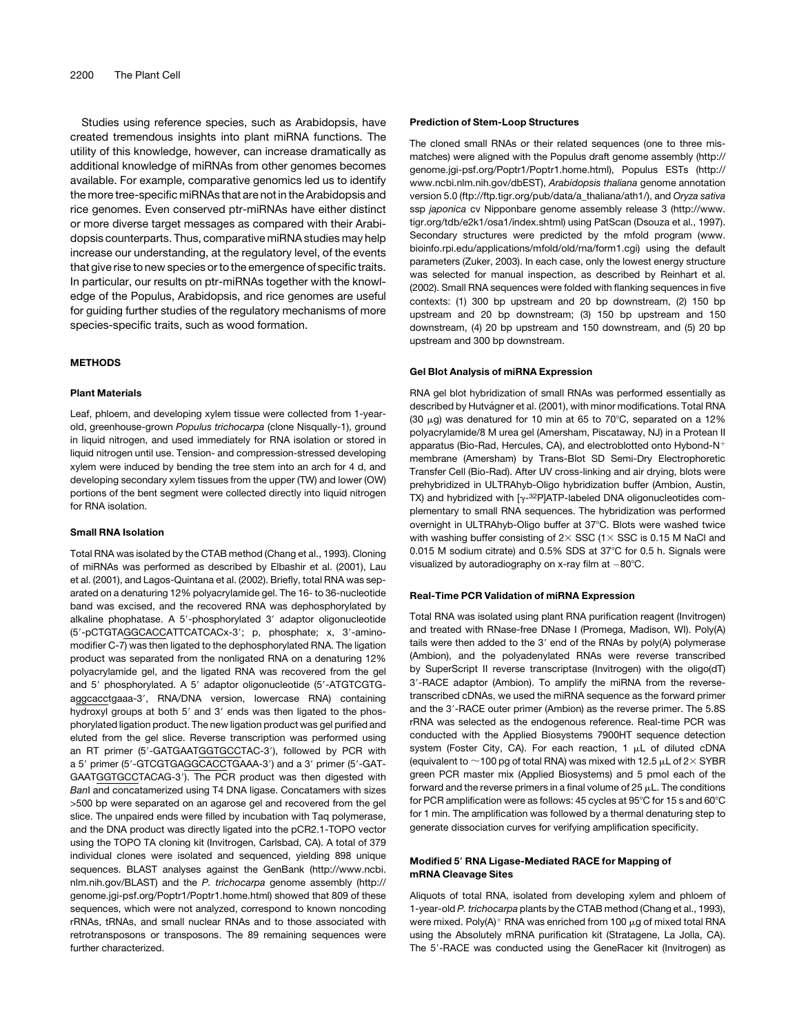Studies using reference species, such as Arabidopsis, have created tremendous insights into plant miRNA functions. The utility of this knowledge, however, can increase dramatically as additional knowledge of miRNAs from other genomes becomes available. For example, comparative genomics led us to identify the more tree-specific miRNAs that are not in the Arabidopsis and rice genomes. Even conserved ptr-miRNAs have either distinct or more diverse target messages as compared with their Arabidopsis counterparts. Thus, comparative miRNA studies may help increase our understanding, at the regulatory level, of the events that give rise to new species or to the emergence of specific traits. In particular, our results on ptr-miRNAs together with the knowledge of the Populus, Arabidopsis, and rice genomes are useful for guiding further studies of the regulatory mechanisms of more species-specific traits, such as wood formation.

#### METHODS

#### Plant Materials

Leaf, phloem, and developing xylem tissue were collected from 1-yearold, greenhouse-grown *Populus trichocarpa* (clone Nisqually-1), ground in liquid nitrogen, and used immediately for RNA isolation or stored in liquid nitrogen until use. Tension- and compression-stressed developing xylem were induced by bending the tree stem into an arch for 4 d, and developing secondary xylem tissues from the upper (TW) and lower (OW) portions of the bent segment were collected directly into liquid nitrogen for RNA isolation.

#### Small RNA Isolation

Total RNA was isolated by the CTAB method (Chang et al., 1993). Cloning of miRNAs was performed as described by Elbashir et al. (2001), Lau et al. (2001), and Lagos-Quintana et al. (2002). Briefly, total RNA was separated on a denaturing 12% polyacrylamide gel. The 16- to 36-nucleotide band was excised, and the recovered RNA was dephosphorylated by alkaline phophatase. A 5'-phosphorylated 3' adaptor oligonucleotide (5'-pCTGTAGGCACCATTCATCACx-3'; p, phosphate; x, 3'-aminomodifier C-7) was then ligated to the dephosphorylated RNA. The ligation product was separated from the nonligated RNA on a denaturing 12% polyacrylamide gel, and the ligated RNA was recovered from the gel and 5' phosphorylated. A 5' adaptor oligonucleotide (5'-ATGTCGTGaggcacctgaaa-3', RNA/DNA version, lowercase RNA) containing hydroxyl groups at both 5' and 3' ends was then ligated to the phosphorylated ligation product. The new ligation product was gel purified and eluted from the gel slice. Reverse transcription was performed using an RT primer (5'-GATGAATGGTGCCTAC-3'), followed by PCR with a 5' primer (5'-GTCGTGAGGCACCTGAAA-3') and a 3' primer (5'-GAT-GAATGGTGCCTACAG-3'). The PCR product was then digested with *Ban*I and concatamerized using T4 DNA ligase. Concatamers with sizes >500 bp were separated on an agarose gel and recovered from the gel slice. The unpaired ends were filled by incubation with Taq polymerase, and the DNA product was directly ligated into the pCR2.1-TOPO vector using the TOPO TA cloning kit (Invitrogen, Carlsbad, CA). A total of 379 individual clones were isolated and sequenced, yielding 898 unique sequences. BLAST analyses against the GenBank (http://www.ncbi. nlm.nih.gov/BLAST) and the *P. trichocarpa* genome assembly (http:// genome.jgi-psf.org/Poptr1/Poptr1.home.html) showed that 809 of these sequences, which were not analyzed, correspond to known noncoding rRNAs, tRNAs, and small nuclear RNAs and to those associated with retrotransposons or transposons. The 89 remaining sequences were further characterized.

#### Prediction of Stem-Loop Structures

The cloned small RNAs or their related sequences (one to three mismatches) were aligned with the Populus draft genome assembly (http:// genome.jgi-psf.org/Poptr1/Poptr1.home.html), Populus ESTs (http:// www.ncbi.nlm.nih.gov/dbEST), *Arabidopsis thaliana* genome annotation version 5.0 (ftp://ftp.tigr.org/pub/data/a\_thaliana/ath1/), and *Oryza sativa* ssp *japonica* cv Nipponbare genome assembly release 3 (http://www. tigr.org/tdb/e2k1/osa1/index.shtml) using PatScan (Dsouza et al., 1997). Secondary structures were predicted by the mfold program (www. bioinfo.rpi.edu/applications/mfold/old/rna/form1.cgi) using the default parameters (Zuker, 2003). In each case, only the lowest energy structure was selected for manual inspection, as described by Reinhart et al. (2002). Small RNA sequences were folded with flanking sequences in five contexts: (1) 300 bp upstream and 20 bp downstream, (2) 150 bp upstream and 20 bp downstream; (3) 150 bp upstream and 150 downstream, (4) 20 bp upstream and 150 downstream, and (5) 20 bp upstream and 300 bp downstream.

#### Gel Blot Analysis of miRNA Expression

RNA gel blot hybridization of small RNAs was performed essentially as described by Hutvágner et al. (2001), with minor modifications. Total RNA (30  $\mu$ g) was denatured for 10 min at 65 to 70°C, separated on a 12% polyacrylamide/8 M urea gel (Amersham, Piscataway, NJ) in a Protean II apparatus (Bio-Rad, Hercules, CA), and electroblotted onto Hybond-N<sup>+</sup> membrane (Amersham) by Trans-Blot SD Semi-Dry Electrophoretic Transfer Cell (Bio-Rad). After UV cross-linking and air drying, blots were prehybridized in ULTRAhyb-Oligo hybridization buffer (Ambion, Austin, TX) and hybridized with  $[y-32P]ATP$ -labeled DNA oligonucleotides complementary to small RNA sequences. The hybridization was performed overnight in ULTRAhyb-Oligo buffer at 37°C. Blots were washed twice with washing buffer consisting of  $2\times$  SSC (1 $\times$  SSC is 0.15 M NaCl and 0.015 M sodium citrate) and 0.5% SDS at 37°C for 0.5 h. Signals were visualized by autoradiography on x-ray film at  $-80^{\circ}$ C.

#### Real-Time PCR Validation of miRNA Expression

Total RNA was isolated using plant RNA purification reagent (Invitrogen) and treated with RNase-free DNase I (Promega, Madison, WI). Poly(A) tails were then added to the 3' end of the RNAs by poly(A) polymerase (Ambion), and the polyadenylated RNAs were reverse transcribed by SuperScript II reverse transcriptase (Invitrogen) with the oligo(dT) 3'-RACE adaptor (Ambion). To amplify the miRNA from the reversetranscribed cDNAs, we used the miRNA sequence as the forward primer and the 3'-RACE outer primer (Ambion) as the reverse primer. The 5.8S rRNA was selected as the endogenous reference. Real-time PCR was conducted with the Applied Biosystems 7900HT sequence detection system (Foster City, CA). For each reaction, 1  $\mu$ L of diluted cDNA (equivalent to  $\sim$  100 pg of total RNA) was mixed with 12.5  $\mu$ L of 2 $\times$  SYBR green PCR master mix (Applied Biosystems) and 5 pmol each of the forward and the reverse primers in a final volume of  $25 \mu L$ . The conditions for PCR amplification were as follows: 45 cycles at  $95^{\circ}$ C for 15 s and 60 $^{\circ}$ C for 1 min. The amplification was followed by a thermal denaturing step to generate dissociation curves for verifying amplification specificity.

#### Modified 5*9* RNA Ligase-Mediated RACE for Mapping of mRNA Cleavage Sites

Aliquots of total RNA, isolated from developing xylem and phloem of 1-year-old *P. trichocarpa* plants by the CTAB method (Chang et al., 1993), were mixed. Poly(A)<sup>+</sup> RNA was enriched from 100  $\mu$ g of mixed total RNA using the Absolutely mRNA purification kit (Stratagene, La Jolla, CA). The 5'-RACE was conducted using the GeneRacer kit (Invitrogen) as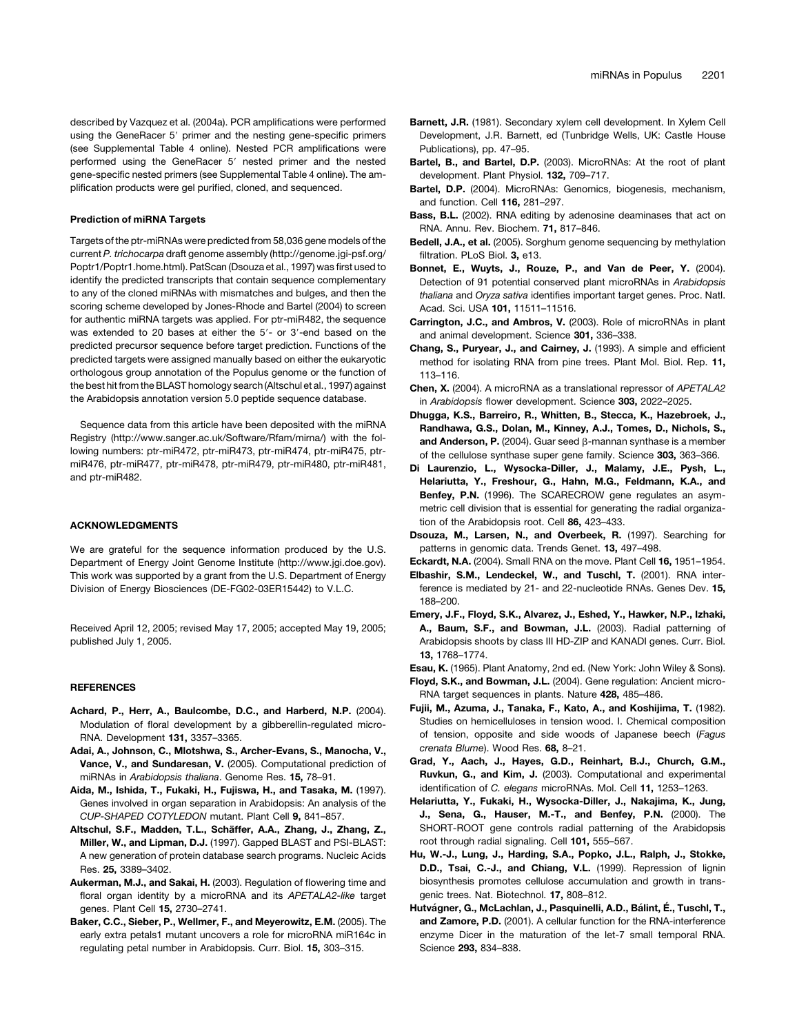plification products were gel purified, cloned, and sequenced.

#### Prediction of miRNA Targets

Targets of the ptr-miRNAs were predicted from 58,036 gene models of the current *P. trichocarpa* draft genome assembly (http://genome.jgi-psf.org/ Poptr1/Poptr1.home.html). PatScan (Dsouza et al., 1997) was first used to identify the predicted transcripts that contain sequence complementary to any of the cloned miRNAs with mismatches and bulges, and then the scoring scheme developed by Jones-Rhode and Bartel (2004) to screen for authentic miRNA targets was applied. For ptr-miR482, the sequence was extended to 20 bases at either the 5'- or 3'-end based on the predicted precursor sequence before target prediction. Functions of the predicted targets were assigned manually based on either the eukaryotic orthologous group annotation of the Populus genome or the function of the best hit from the BLAST homology search (Altschul et al., 1997) against the Arabidopsis annotation version 5.0 peptide sequence database.

Sequence data from this article have been deposited with the miRNA Registry (http://www.sanger.ac.uk/Software/Rfam/mirna/) with the following numbers: ptr-miR472, ptr-miR473, ptr-miR474, ptr-miR475, ptrmiR476, ptr-miR477, ptr-miR478, ptr-miR479, ptr-miR480, ptr-miR481, and ptr-miR482.

#### ACKNOWLEDGMENTS

We are grateful for the sequence information produced by the U.S. Department of Energy Joint Genome Institute (http://www.jgi.doe.gov). This work was supported by a grant from the U.S. Department of Energy Division of Energy Biosciences (DE-FG02-03ER15442) to V.L.C.

Received April 12, 2005; revised May 17, 2005; accepted May 19, 2005; published July 1, 2005.

#### **REFERENCES**

- Achard, P., Herr, A., Baulcombe, D.C., and Harberd, N.P. (2004). Modulation of floral development by a gibberellin-regulated micro-RNA. Development 131, 3357–3365.
- Adai, A., Johnson, C., Mlotshwa, S., Archer-Evans, S., Manocha, V., Vance, V., and Sundaresan, V. (2005). Computational prediction of miRNAs in *Arabidopsis thaliana*. Genome Res. 15, 78–91.
- Aida, M., Ishida, T., Fukaki, H., Fujiswa, H., and Tasaka, M. (1997). Genes involved in organ separation in Arabidopsis: An analysis of the *CUP-SHAPED COTYLEDON* mutant. Plant Cell 9, 841–857.
- Altschul, S.F., Madden, T.L., Schäffer, A.A., Zhang, J., Zhang, Z., Miller, W., and Lipman, D.J. (1997). Gapped BLAST and PSI-BLAST: A new generation of protein database search programs. Nucleic Acids Res. 25, 3389–3402.
- Aukerman, M.J., and Sakai, H. (2003). Regulation of flowering time and floral organ identity by a microRNA and its *APETALA2-like* target genes. Plant Cell 15, 2730–2741.
- Baker, C.C., Sieber, P., Wellmer, F., and Meyerowitz, E.M. (2005). The early extra petals1 mutant uncovers a role for microRNA miR164c in regulating petal number in Arabidopsis. Curr. Biol. 15, 303–315.
- Barnett, J.R. (1981). Secondary xylem cell development. In Xylem Cell Development, J.R. Barnett, ed (Tunbridge Wells, UK: Castle House Publications), pp. 47–95.
- Bartel, B., and Bartel, D.P. (2003). MicroRNAs: At the root of plant development. Plant Physiol. 132, 709–717.
- Bartel, D.P. (2004). MicroRNAs: Genomics, biogenesis, mechanism, and function. Cell 116, 281–297.
- Bass, B.L. (2002). RNA editing by adenosine deaminases that act on RNA. Annu. Rev. Biochem. 71, 817–846.
- Bedell, J.A., et al. (2005). Sorghum genome sequencing by methylation filtration. PLoS Biol. 3, e13.
- Bonnet, E., Wuyts, J., Rouze, P., and Van de Peer, Y. (2004). Detection of 91 potential conserved plant microRNAs in *Arabidopsis thaliana* and *Oryza sativa* identifies important target genes. Proc. Natl. Acad. Sci. USA 101, 11511–11516.
- Carrington, J.C., and Ambros, V. (2003). Role of microRNAs in plant and animal development. Science 301, 336–338.
- Chang, S., Puryear, J., and Cairney, J. (1993). A simple and efficient method for isolating RNA from pine trees. Plant Mol. Biol. Rep. 11, 113–116.
- Chen, X. (2004). A microRNA as a translational repressor of *APETALA2* in *Arabidopsis* flower development. Science 303, 2022–2025.
- Dhugga, K.S., Barreiro, R., Whitten, B., Stecca, K., Hazebroek, J., Randhawa, G.S., Dolan, M., Kinney, A.J., Tomes, D., Nichols, S., and Anderson, P. (2004). Guar seed B-mannan synthase is a member of the cellulose synthase super gene family. Science 303, 363–366.
- Di Laurenzio, L., Wysocka-Diller, J., Malamy, J.E., Pysh, L., Helariutta, Y., Freshour, G., Hahn, M.G., Feldmann, K.A., and Benfey, P.N. (1996). The SCARECROW gene regulates an asymmetric cell division that is essential for generating the radial organization of the Arabidopsis root. Cell 86, 423–433.
- Dsouza, M., Larsen, N., and Overbeek, R. (1997). Searching for patterns in genomic data. Trends Genet. 13, 497–498.
- Eckardt, N.A. (2004). Small RNA on the move. Plant Cell 16, 1951–1954.
- Elbashir, S.M., Lendeckel, W., and Tuschl, T. (2001). RNA interference is mediated by 21- and 22-nucleotide RNAs. Genes Dev. 15, 188–200.
- Emery, J.F., Floyd, S.K., Alvarez, J., Eshed, Y., Hawker, N.P., Izhaki, A., Baum, S.F., and Bowman, J.L. (2003). Radial patterning of Arabidopsis shoots by class III HD-ZIP and KANADI genes. Curr. Biol. 13, 1768–1774.
- Esau, K. (1965). Plant Anatomy, 2nd ed. (New York: John Wiley & Sons). Floyd, S.K., and Bowman, J.L. (2004). Gene regulation: Ancient micro-
- RNA target sequences in plants. Nature 428, 485–486.
- Fujii, M., Azuma, J., Tanaka, F., Kato, A., and Koshijima, T. (1982). Studies on hemicelluloses in tension wood. I. Chemical composition of tension, opposite and side woods of Japanese beech (*Fagus crenata Blume*). Wood Res. 68, 8–21.
- Grad, Y., Aach, J., Hayes, G.D., Reinhart, B.J., Church, G.M., Ruvkun, G., and Kim, J. (2003). Computational and experimental identification of *C. elegans* microRNAs. Mol. Cell 11, 1253–1263.
- Helariutta, Y., Fukaki, H., Wysocka-Diller, J., Nakajima, K., Jung, J., Sena, G., Hauser, M.-T., and Benfey, P.N. (2000). The SHORT-ROOT gene controls radial patterning of the Arabidopsis root through radial signaling. Cell 101, 555–567.
- Hu, W.-J., Lung, J., Harding, S.A., Popko, J.L., Ralph, J., Stokke, D.D., Tsai, C.-J., and Chiang, V.L. (1999). Repression of lignin biosynthesis promotes cellulose accumulation and growth in transgenic trees. Nat. Biotechnol. 17, 808–812.
- Hutvágner, G., McLachlan, J., Pasquinelli, A.D., Bálint, É., Tuschl, T., and Zamore, P.D. (2001). A cellular function for the RNA-interference enzyme Dicer in the maturation of the let-7 small temporal RNA. Science 293, 834–838.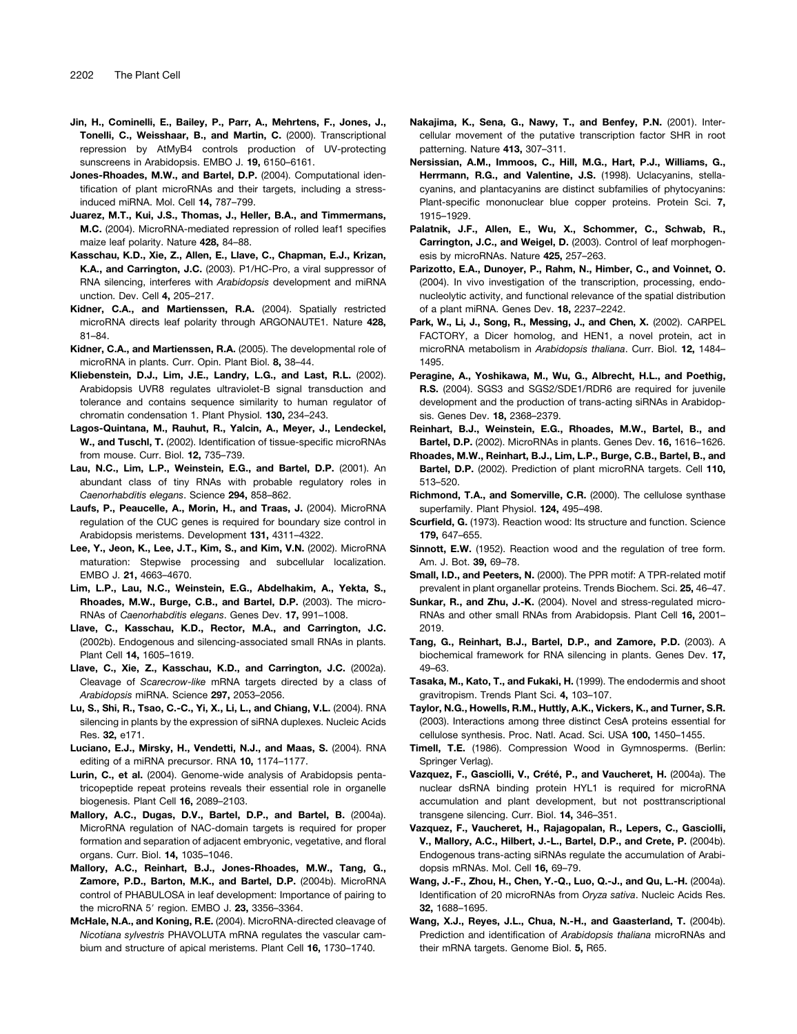- Jin, H., Cominelli, E., Bailey, P., Parr, A., Mehrtens, F., Jones, J., Tonelli, C., Weisshaar, B., and Martin, C. (2000). Transcriptional repression by AtMyB4 controls production of UV-protecting sunscreens in Arabidopsis. EMBO J. 19, 6150–6161.
- Jones-Rhoades, M.W., and Bartel, D.P. (2004). Computational identification of plant microRNAs and their targets, including a stressinduced miRNA. Mol. Cell 14, 787–799.
- Juarez, M.T., Kui, J.S., Thomas, J., Heller, B.A., and Timmermans, M.C. (2004). MicroRNA-mediated repression of rolled leaf1 specifies maize leaf polarity. Nature 428, 84–88.
- Kasschau, K.D., Xie, Z., Allen, E., Llave, C., Chapman, E.J., Krizan, K.A., and Carrington, J.C. (2003). P1/HC-Pro, a viral suppressor of RNA silencing, interferes with *Arabidopsis* development and miRNA unction. Dev. Cell 4, 205–217.
- Kidner, C.A., and Martienssen, R.A. (2004). Spatially restricted microRNA directs leaf polarity through ARGONAUTE1. Nature 428, 81–84.
- Kidner, C.A., and Martienssen, R.A. (2005). The developmental role of microRNA in plants. Curr. Opin. Plant Biol. 8, 38–44.
- Kliebenstein, D.J., Lim, J.E., Landry, L.G., and Last, R.L. (2002). Arabidopsis UVR8 regulates ultraviolet-B signal transduction and tolerance and contains sequence similarity to human regulator of chromatin condensation 1. Plant Physiol. 130, 234–243.
- Lagos-Quintana, M., Rauhut, R., Yalcin, A., Meyer, J., Lendeckel, W., and Tuschl, T. (2002). Identification of tissue-specific microRNAs from mouse. Curr. Biol. 12, 735–739.
- Lau, N.C., Lim, L.P., Weinstein, E.G., and Bartel, D.P. (2001). An abundant class of tiny RNAs with probable regulatory roles in *Caenorhabditis elegans*. Science 294, 858–862.
- Laufs, P., Peaucelle, A., Morin, H., and Traas, J. (2004). MicroRNA regulation of the CUC genes is required for boundary size control in Arabidopsis meristems. Development 131, 4311–4322.
- Lee, Y., Jeon, K., Lee, J.T., Kim, S., and Kim, V.N. (2002). MicroRNA maturation: Stepwise processing and subcellular localization. EMBO J. 21, 4663–4670.
- Lim, L.P., Lau, N.C., Weinstein, E.G., Abdelhakim, A., Yekta, S., Rhoades, M.W., Burge, C.B., and Bartel, D.P. (2003). The micro-RNAs of *Caenorhabditis elegans*. Genes Dev. 17, 991–1008.
- Llave, C., Kasschau, K.D., Rector, M.A., and Carrington, J.C. (2002b). Endogenous and silencing-associated small RNAs in plants. Plant Cell 14, 1605–1619.
- Llave, C., Xie, Z., Kasschau, K.D., and Carrington, J.C. (2002a). Cleavage of *Scarecrow-like* mRNA targets directed by a class of *Arabidopsis* miRNA. Science 297, 2053–2056.
- Lu, S., Shi, R., Tsao, C.-C., Yi, X., Li, L., and Chiang, V.L. (2004). RNA silencing in plants by the expression of siRNA duplexes. Nucleic Acids Res. 32, e171.
- Luciano, E.J., Mirsky, H., Vendetti, N.J., and Maas, S. (2004). RNA editing of a miRNA precursor. RNA 10, 1174–1177.
- Lurin, C., et al. (2004). Genome-wide analysis of Arabidopsis pentatricopeptide repeat proteins reveals their essential role in organelle biogenesis. Plant Cell 16, 2089–2103.
- Mallory, A.C., Dugas, D.V., Bartel, D.P., and Bartel, B. (2004a). MicroRNA regulation of NAC-domain targets is required for proper formation and separation of adjacent embryonic, vegetative, and floral organs. Curr. Biol. 14, 1035–1046.
- Mallory, A.C., Reinhart, B.J., Jones-Rhoades, M.W., Tang, G., Zamore, P.D., Barton, M.K., and Bartel, D.P. (2004b). MicroRNA control of PHABULOSA in leaf development: Importance of pairing to the microRNA 5' region. EMBO J. 23, 3356-3364.
- McHale, N.A., and Koning, R.E. (2004). MicroRNA-directed cleavage of *Nicotiana sylvestris* PHAVOLUTA mRNA regulates the vascular cambium and structure of apical meristems. Plant Cell 16, 1730–1740.
- Nakajima, K., Sena, G., Nawy, T., and Benfey, P.N. (2001). Intercellular movement of the putative transcription factor SHR in root patterning. Nature 413, 307–311.
- Nersissian, A.M., Immoos, C., Hill, M.G., Hart, P.J., Williams, G., Herrmann, R.G., and Valentine, J.S. (1998). Uclacyanins, stellacyanins, and plantacyanins are distinct subfamilies of phytocyanins: Plant-specific mononuclear blue copper proteins. Protein Sci. 7, 1915–1929.
- Palatnik, J.F., Allen, E., Wu, X., Schommer, C., Schwab, R., Carrington, J.C., and Weigel, D. (2003). Control of leaf morphogenesis by microRNAs. Nature 425, 257–263.
- Parizotto, E.A., Dunoyer, P., Rahm, N., Himber, C., and Voinnet, O. (2004). In vivo investigation of the transcription, processing, endonucleolytic activity, and functional relevance of the spatial distribution of a plant miRNA. Genes Dev. 18, 2237–2242.
- Park, W., Li, J., Song, R., Messing, J., and Chen, X. (2002). CARPEL FACTORY, a Dicer homolog, and HEN1, a novel protein, act in microRNA metabolism in *Arabidopsis thaliana*. Curr. Biol. 12, 1484– 1495.
- Peragine, A., Yoshikawa, M., Wu, G., Albrecht, H.L., and Poethig, R.S. (2004). SGS3 and SGS2/SDE1/RDR6 are required for juvenile development and the production of trans-acting siRNAs in Arabidopsis. Genes Dev. 18, 2368–2379.
- Reinhart, B.J., Weinstein, E.G., Rhoades, M.W., Bartel, B., and Bartel, D.P. (2002). MicroRNAs in plants. Genes Dev. 16, 1616–1626.
- Rhoades, M.W., Reinhart, B.J., Lim, L.P., Burge, C.B., Bartel, B., and Bartel, D.P. (2002). Prediction of plant microRNA targets. Cell 110, 513–520.
- Richmond, T.A., and Somerville, C.R. (2000). The cellulose synthase superfamily. Plant Physiol. 124, 495–498.
- Scurfield, G. (1973). Reaction wood: Its structure and function. Science 179, 647–655.
- Sinnott, E.W. (1952). Reaction wood and the regulation of tree form. Am. J. Bot. 39, 69–78.
- Small, I.D., and Peeters, N. (2000). The PPR motif: A TPR-related motif prevalent in plant organellar proteins. Trends Biochem. Sci. 25, 46–47.
- Sunkar, R., and Zhu, J.-K. (2004). Novel and stress-regulated micro-RNAs and other small RNAs from Arabidopsis. Plant Cell 16, 2001– 2019.
- Tang, G., Reinhart, B.J., Bartel, D.P., and Zamore, P.D. (2003). A biochemical framework for RNA silencing in plants. Genes Dev. 17, 49–63.
- Tasaka, M., Kato, T., and Fukaki, H. (1999). The endodermis and shoot gravitropism. Trends Plant Sci. 4, 103–107.
- Taylor, N.G., Howells, R.M., Huttly, A.K., Vickers, K., and Turner, S.R. (2003). Interactions among three distinct CesA proteins essential for cellulose synthesis. Proc. Natl. Acad. Sci. USA 100, 1450–1455.
- Timell, T.E. (1986). Compression Wood in Gymnosperms. (Berlin: Springer Verlag).
- Vazquez, F., Gasciolli, V., Crété, P., and Vaucheret, H. (2004a). The nuclear dsRNA binding protein HYL1 is required for microRNA accumulation and plant development, but not posttranscriptional transgene silencing. Curr. Biol. 14, 346–351.
- Vazquez, F., Vaucheret, H., Rajagopalan, R., Lepers, C., Gasciolli, V., Mallory, A.C., Hilbert, J.-L., Bartel, D.P., and Crete, P. (2004b). Endogenous trans-acting siRNAs regulate the accumulation of Arabidopsis mRNAs. Mol. Cell 16, 69–79.
- Wang, J.-F., Zhou, H., Chen, Y.-Q., Luo, Q.-J., and Qu, L.-H. (2004a). Identification of 20 microRNAs from *Oryza sativa*. Nucleic Acids Res. 32, 1688–1695.
- Wang, X.J., Reyes, J.L., Chua, N.-H., and Gaasterland, T. (2004b). Prediction and identification of *Arabidopsis thaliana* microRNAs and their mRNA targets. Genome Biol. 5. R65.